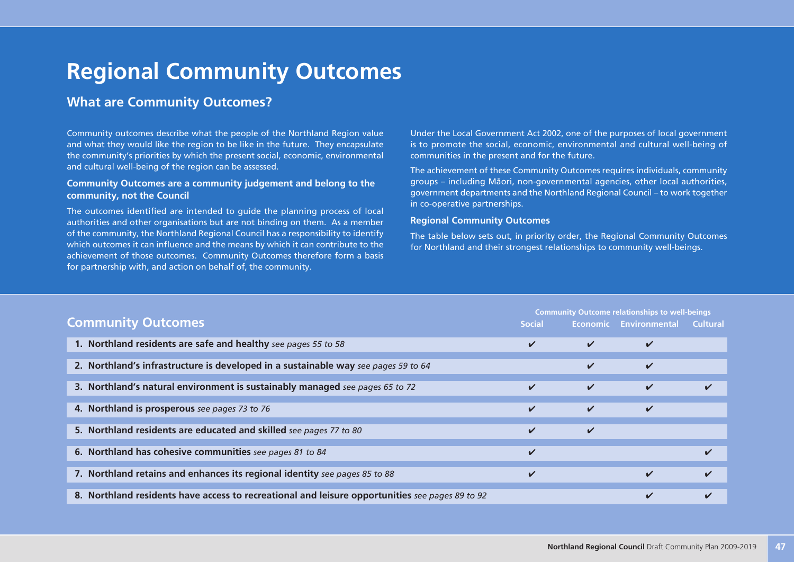# **Regional Community Outcomes**

### **What are Community Outcomes?**

Community outcomes describe what the people of the Northland Region value and what they would like the region to be like in the future. They encapsulate the community's priorities by which the present social, economic, environmental and cultural well-being of the region can be assessed.

#### **Community Outcomes are a community judgement and belong to the community, not the Council**

The outcomes identified are intended to guide the planning process of local authorities and other organisations but are not binding on them. As a member of the community, the Northland Regional Council has a responsibility to identify which outcomes it can influence and the means by which it can contribute to the achievement of those outcomes. Community Outcomes therefore form a basis for partnership with, and action on behalf of, the community.

Under the Local Government Act 2002, one of the purposes of local government is to promote the social, economic, environmental and cultural well-being of communities in the present and for the future.

The achievement of these Community Outcomes requires individuals, community groups – including Mäori, non-governmental agencies, other local authorities, government departments and the Northland Regional Council – to work together in co-operative partnerships.

#### **Regional Community Outcomes**

The table below sets out, in priority order, the Regional Community Outcomes for Northland and their strongest relationships to community well-beings.

|                                                                                                 |              | <b>Community Outcome relationships to well-beings</b> |                        |                 |
|-------------------------------------------------------------------------------------------------|--------------|-------------------------------------------------------|------------------------|-----------------|
| <b>Community Outcomes</b>                                                                       |              |                                                       | Economic Environmental | <b>Cultural</b> |
| 1. Northland residents are safe and healthy see pages 55 to 58                                  | V            | $\checkmark$                                          | V                      |                 |
| 2. Northland's infrastructure is developed in a sustainable way see pages 59 to 64              |              | ✔                                                     | ✓                      |                 |
| 3. Northland's natural environment is sustainably managed see pages 65 to 72                    | $\checkmark$ | $\checkmark$                                          | V                      |                 |
| 4. Northland is prosperous see pages 73 to 76                                                   | ✓            | $\checkmark$                                          | ✓                      |                 |
| 5. Northland residents are educated and skilled see pages 77 to 80                              | ✓            | ✓                                                     |                        |                 |
| 6. Northland has cohesive communities see pages 81 to 84                                        | ✓            |                                                       |                        |                 |
| 7. Northland retains and enhances its regional identity see pages 85 to 88                      | ✓            |                                                       | ✓                      | ✓               |
| 8. Northland residents have access to recreational and leisure opportunities see pages 89 to 92 |              |                                                       | ✓                      | ✓               |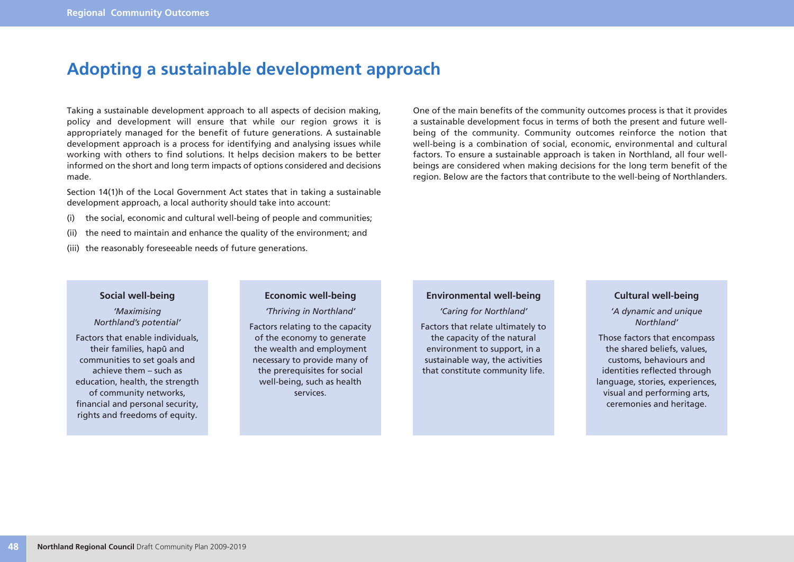## **Adopting a sustainable development approach**

Taking a sustainable development approach to all aspects of decision making, policy and development will ensure that while our region grows it is appropriately managed for the benefit of future generations. A sustainable development approach is a process for identifying and analysing issues while working with others to find solutions. It helps decision makers to be better informed on the short and long term impacts of options considered and decisions made.

Section 14(1)h of the Local Government Act states that in taking a sustainable development approach, a local authority should take into account:

- (i) the social, economic and cultural well-being of people and communities;
- (ii) the need to maintain and enhance the quality of the environment; and
- (iii) the reasonably foreseeable needs of future generations.

One of the main benefits of the community outcomes process is that it provides a sustainable development focus in terms of both the present and future wellbeing of the community. Community outcomes reinforce the notion that well-being is a combination of social, economic, environmental and cultural factors. To ensure a sustainable approach is taken in Northland, all four wellbeings are considered when making decisions for the long term benefit of the region. Below are the factors that contribute to the well-being of Northlanders.

#### **Social well-being**

*'Maximising Northland's potential'*

Factors that enable individuals, their families, hapü and communities to set goals and achieve them – such as education, health, the strength of community networks, financial and personal security, rights and freedoms of equity.

#### **Economic well-being**

*'Thriving in Northland'*

Factors relating to the capacity of the economy to generate the wealth and employment necessary to provide many of the prerequisites for social well-being, such as health services.

#### **Environmental well-being**

*'Caring for Northland'*

Factors that relate ultimately to the capacity of the natural environment to support, in a sustainable way, the activities that constitute community life.

#### **Cultural well-being**

*'A dynamic and unique Northland'*

Those factors that encompass the shared beliefs, values, customs, behaviours and identities reflected through language, stories, experiences, visual and performing arts, ceremonies and heritage.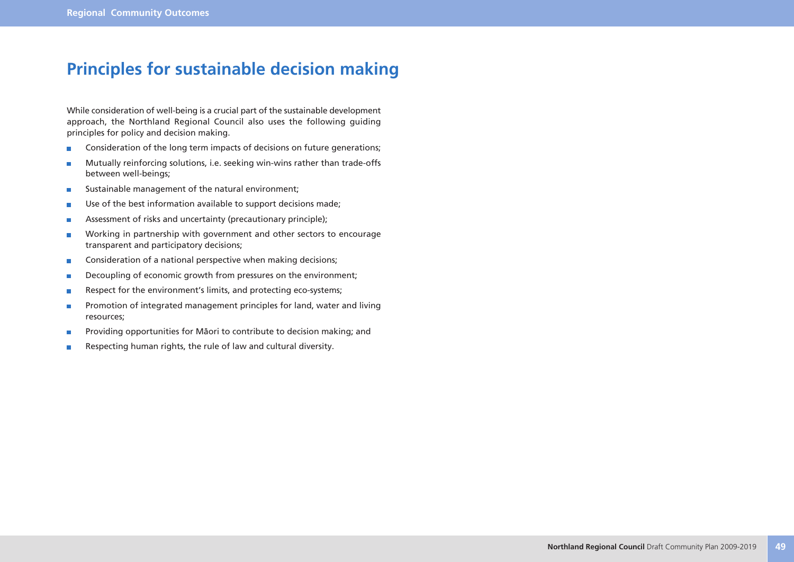## **Principles for sustainable decision making**

While consideration of well-being is a crucial part of the sustainable development approach, the Northland Regional Council also uses the following guiding principles for policy and decision making.

- Consideration of the long term impacts of decisions on future generations;  $\overline{\phantom{a}}$
- Mutually reinforcing solutions, i.e. seeking win-wins rather than trade-offs r. between well-beings;
- Sustainable management of the natural environment; r.
- Use of the best information available to support decisions made; П
- Assessment of risks and uncertainty (precautionary principle); г
- Working in partnership with government and other sectors to encourage r. transparent and participatory decisions;
- Consideration of a national perspective when making decisions;  $\blacksquare$
- Decoupling of economic growth from pressures on the environment;  $\overline{\phantom{a}}$
- Respect for the environment's limits, and protecting eco-systems;  $\overline{\phantom{a}}$
- Promotion of integrated management principles for land, water and living П resources;
- Providing opportunities for Mäori to contribute to decision making; and F
- Respecting human rights, the rule of law and cultural diversity.П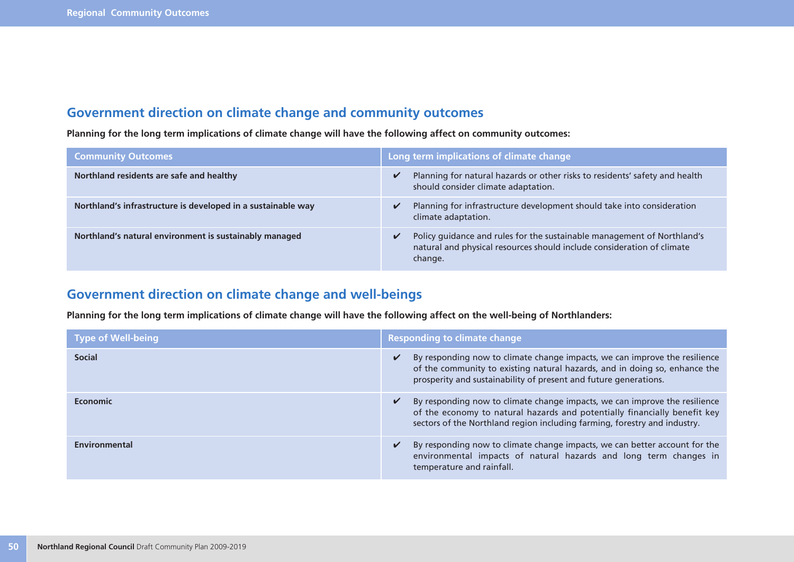### **Government direction on climate change and community outcomes**

**Planning for the long term implications of climate change will have the following affect on community outcomes:**

| <b>Community Outcomes</b>                                    | Long term implications of climate change                                                                                                                     |
|--------------------------------------------------------------|--------------------------------------------------------------------------------------------------------------------------------------------------------------|
| Northland residents are safe and healthy                     | Planning for natural hazards or other risks to residents' safety and health<br>should consider climate adaptation.                                           |
| Northland's infrastructure is developed in a sustainable way | Planning for infrastructure development should take into consideration<br>climate adaptation.                                                                |
| Northland's natural environment is sustainably managed       | Policy guidance and rules for the sustainable management of Northland's<br>natural and physical resources should include consideration of climate<br>change. |

### **Government direction on climate change and well-beings**

**Planning for the long term implications of climate change will have the following affect on the well-being of Northlanders:**

| <b>Type of Well-being</b> | <b>Responding to climate change</b>                                                                                                                                                                                                          |
|---------------------------|----------------------------------------------------------------------------------------------------------------------------------------------------------------------------------------------------------------------------------------------|
| <b>Social</b>             | By responding now to climate change impacts, we can improve the resilience<br>$\checkmark$<br>of the community to existing natural hazards, and in doing so, enhance the<br>prosperity and sustainability of present and future generations. |
| Economic                  | By responding now to climate change impacts, we can improve the resilience<br>V<br>of the economy to natural hazards and potentially financially benefit key<br>sectors of the Northland region including farming, forestry and industry.    |
| Environmental             | By responding now to climate change impacts, we can better account for the<br>V<br>environmental impacts of natural hazards and long term changes in<br>temperature and rainfall.                                                            |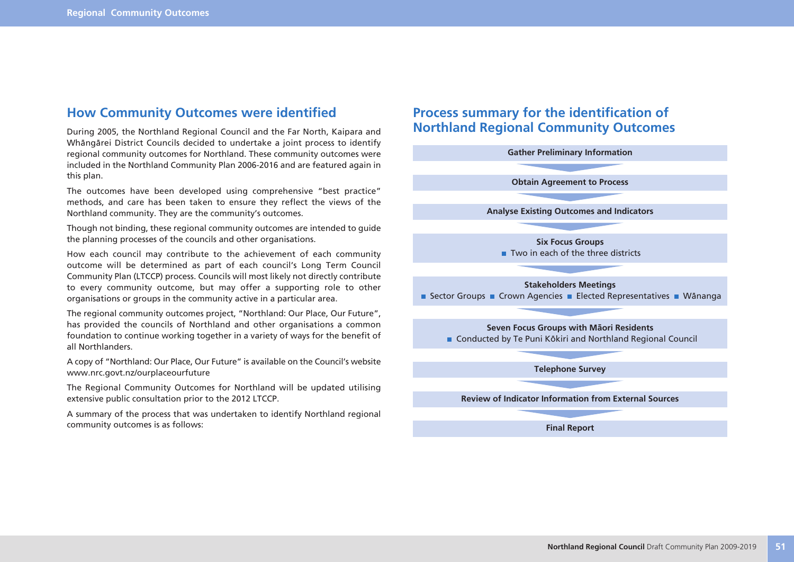### **How Community Outcomes were identified**

During 2005, the Northland Regional Council and the Far North, Kaipara and Whängärei District Councils decided to undertake a joint process to identify regional community outcomes for Northland. These community outcomes were included in the Northland Community Plan 2006-2016 and are featured again in this plan.

The outcomes have been developed using comprehensive "best practice" methods, and care has been taken to ensure they reflect the views of the Northland community. They are the community's outcomes.

Though not binding, these regional community outcomes are intended to guide the planning processes of the councils and other organisations.

How each council may contribute to the achievement of each community outcome will be determined as part of each council's Long Term Council Community Plan (LTCCP) process. Councils will most likely not directly contribute to every community outcome, but may offer a supporting role to other organisations or groups in the community active in a particular area.

The regional community outcomes project, "Northland: Our Place, Our Future", has provided the councils of Northland and other organisations a common foundation to continue working together in a variety of ways for the benefit of all Northlanders.

A copy of "Northland: Our Place, Our Future" is available on the Council's website www.nrc.govt.nz/ourplaceourfuture

The Regional Community Outcomes for Northland will be updated utilising extensive public consultation prior to the 2012 LTCCP.

A summary of the process that was undertaken to identify Northland regional community outcomes is as follows:

### **Process summary for the identification of Northland Regional Community Outcomes**

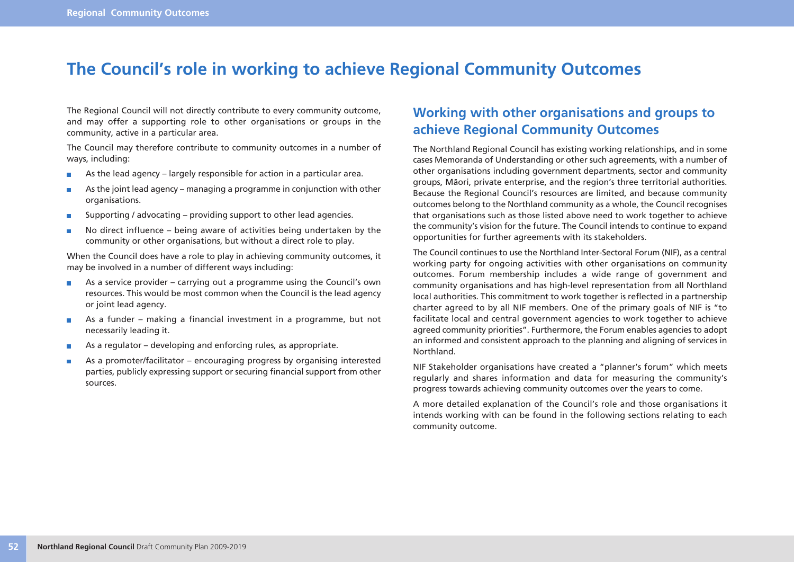## **The Council's role in working to achieve Regional Community Outcomes**

The Regional Council will not directly contribute to every community outcome, and may offer a supporting role to other organisations or groups in the community, active in a particular area.

The Council may therefore contribute to community outcomes in a number of ways, including:

- As the lead agency largely responsible for action in a particular area.  $\blacksquare$
- As the joint lead agency managing a programme in conjunction with other  $\blacksquare$ organisations.
- Supporting / advocating providing support to other lead agencies.  $\blacksquare$
- No direct influence being aware of activities being undertaken by the П community or other organisations, but without a direct role to play.

When the Council does have a role to play in achieving community outcomes, it may be involved in a number of different ways including:

- As a service provider carrying out a programme using the Council's own  $\overline{\phantom{a}}$ resources. This would be most common when the Council is the lead agency or joint lead agency.
- As a funder making a financial investment in a programme, but not **In the** necessarily leading it.
- As a regulator developing and enforcing rules, as appropriate. r.
- As a promoter/facilitator encouraging progress by organising interested T. parties, publicly expressing support or securing financial support from other sources.

### **Working with other organisations and groups to achieve Regional Community Outcomes**

The Northland Regional Council has existing working relationships, and in some cases Memoranda of Understanding or other such agreements, with a number of other organisations including government departments, sector and community groups, Mäori, private enterprise, and the region's three territorial authorities. Because the Regional Council's resources are limited, and because community outcomes belong to the Northland community as a whole, the Council recognises that organisations such as those listed above need to work together to achieve the community's vision for the future. The Council intends to continue to expand opportunities for further agreements with its stakeholders.

The Council continues to use the Northland Inter-Sectoral Forum (NIF), as a central working party for ongoing activities with other organisations on community outcomes. Forum membership includes a wide range of government and community organisations and has high-level representation from all Northland local authorities. This commitment to work together is reflected in a partnership charter agreed to by all NIF members. One of the primary goals of NIF is "to facilitate local and central government agencies to work together to achieve agreed community priorities". Furthermore, the Forum enables agencies to adopt an informed and consistent approach to the planning and aligning of services in Northland.

NIF Stakeholder organisations have created a "planner's forum" which meets regularly and shares information and data for measuring the community's progress towards achieving community outcomes over the years to come.

A more detailed explanation of the Council's role and those organisations it intends working with can be found in the following sections relating to each community outcome.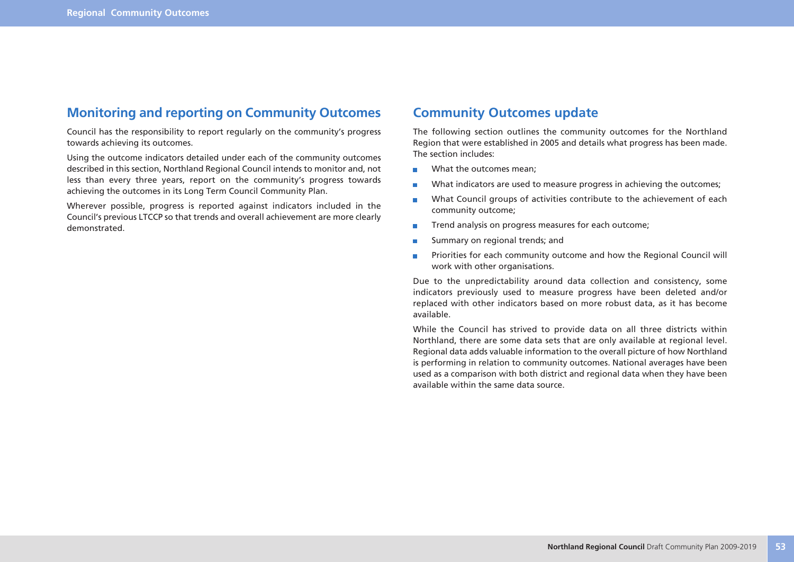### **Monitoring and reporting on Community Outcomes**

Council has the responsibility to report regularly on the community's progress towards achieving its outcomes.

Using the outcome indicators detailed under each of the community outcomes described in this section, Northland Regional Council intends to monitor and, not less than every three years, report on the community's progress towards achieving the outcomes in its Long Term Council Community Plan.

Wherever possible, progress is reported against indicators included in the Council's previous LTCCP so that trends and overall achievement are more clearly demonstrated.

### **Community Outcomes update**

The following section outlines the community outcomes for the Northland Region that were established in 2005 and details what progress has been made. The section includes:

- What the outcomes mean;  $\overline{\phantom{a}}$
- What indicators are used to measure progress in achieving the outcomes; П
- What Council groups of activities contribute to the achievement of each  $\blacksquare$ community outcome;
- Trend analysis on progress measures for each outcome; П
- Summary on regional trends; and m,
- Priorities for each community outcome and how the Regional Council will  $\overline{\phantom{a}}$ work with other organisations.

Due to the unpredictability around data collection and consistency, some indicators previously used to measure progress have been deleted and/or replaced with other indicators based on more robust data, as it has become available.

While the Council has strived to provide data on all three districts within Northland, there are some data sets that are only available at regional level. Regional data adds valuable information to the overall picture of how Northland is performing in relation to community outcomes. National averages have been used as a comparison with both district and regional data when they have been available within the same data source.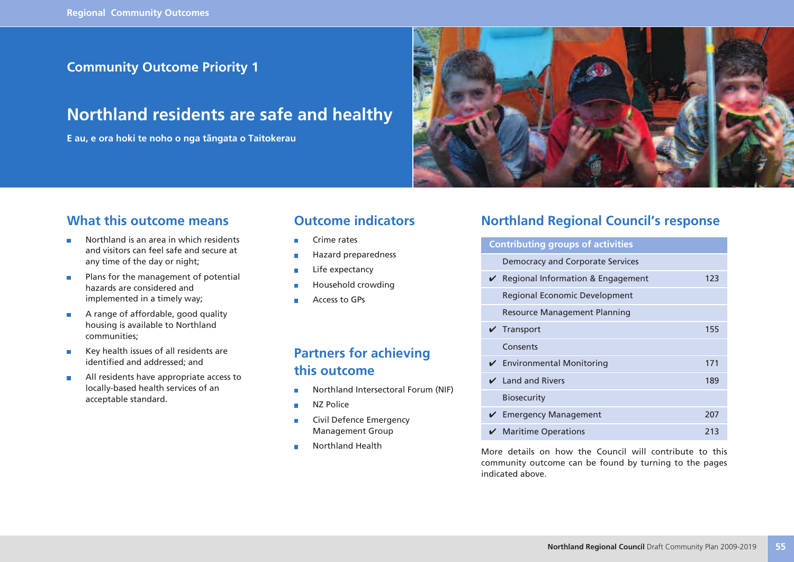### **Community Outcome Priority 1**

## **Northland residents are safe and healthy**

**E au, e ora hoki te noho o nga tängata o Taitokerau**



### **What this outcome means**

- Northland is an area in which residents ÷ and visitors can feel safe and secure at any time of the day or night;
- Plans for the management of potential  $\overline{\phantom{a}}$ hazards are considered and implemented in a timely way;
- A range of affordable, good quality  $\overline{\phantom{a}}$ housing is available to Northland communities;
- Key health issues of all residents are identified and addressed; and
- All residents have appropriate access to  $\overline{\phantom{a}}$ locally-based health services of an acceptable standard.

### **Outcome indicators**

- Crime rates
- Hazard preparedness
- Life expectancy П
- Household crowding
- Access to GPs

### **Partners for achieving this outcome**

- Northland Intersectoral Forum (NIF) ×
- NZ Police ÷
- Civil Defence Emergency  $\blacksquare$ Management Group
- × Northland Health

### **Northland Regional Council's response**

| <b>Contributing groups of activities</b>      |     |  |
|-----------------------------------------------|-----|--|
| Democracy and Corporate Services              |     |  |
| ✔ Regional Information & Engagement           | 123 |  |
| Regional Economic Development                 |     |  |
| <b>Resource Management Planning</b>           |     |  |
| Transport                                     | 155 |  |
| Consents                                      |     |  |
| $\checkmark$ Environmental Monitoring         | 171 |  |
| $\vee$ Land and Rivers                        | 189 |  |
| <b>Biosecurity</b>                            |     |  |
| <b>Emergency Management</b>                   | 207 |  |
| $\boldsymbol{\checkmark}$ Maritime Operations | 213 |  |

More details on how the Council will contribute to this community outcome can be found by turning to the pages indicated above.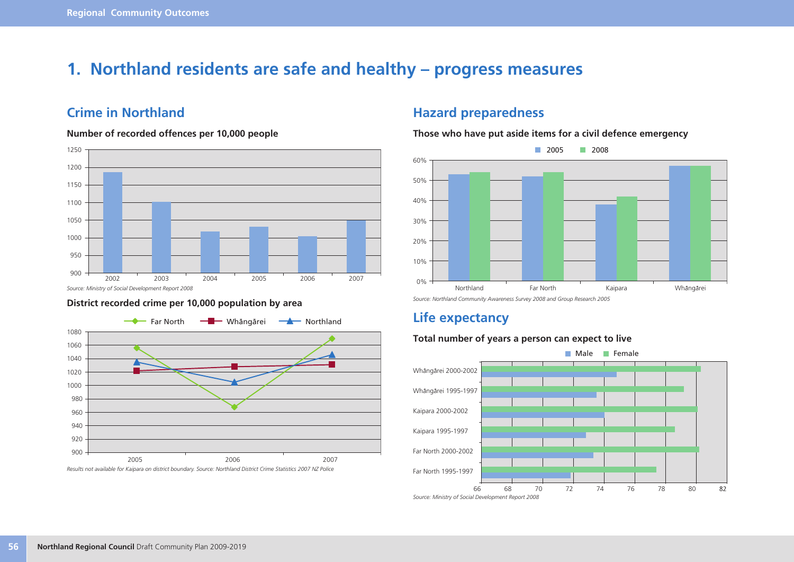## **1. Northland residents are safe and healthy – progress measures**

### **Crime in Northland**

#### **Number of recorded offences per 10,000 people**



#### *Source: Ministry of Social Development Report 2008*

### **District recorded crime per 10,000 population by area** *Source: Northland Community Awareness Survey 2008 and Group Research 2005*



### **Hazard preparedness**

**Those who have put aside items for a civil defence emergency**



### **Life expectancy**

#### **Total number of years a person can expect to live**

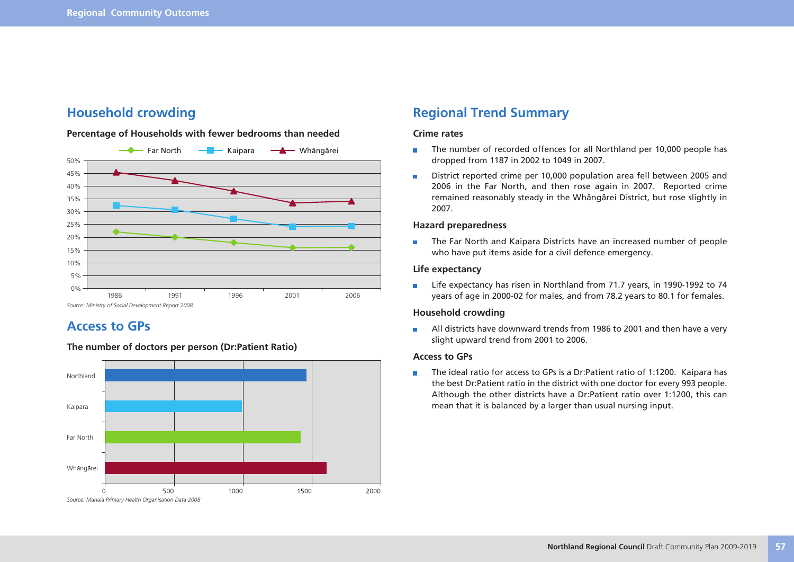### **Household crowding**

#### **Percentage of Households with fewer bedrooms than needed**



### **Access to GPs**



#### **The number of doctors per person (Dr:Patient Ratio)**

### **Regional Trend Summary**

#### **Crime rates**

- The number of recorded offences for all Northland per 10,000 people has  $\overline{\phantom{a}}$ dropped from 1187 in 2002 to 1049 in 2007.
- District reported crime per 10,000 population area fell between 2005 and  $\blacksquare$ 2006 in the Far North, and then rose again in 2007. Reported crime remained reasonably steady in the Whängärei District, but rose slightly in 2007.

#### **Hazard preparedness**

The Far North and Kaipara Districts have an increased number of people  $\overline{\phantom{a}}$ who have put items aside for a civil defence emergency.

#### **Life expectancy**

m. Life expectancy has risen in Northland from 71.7 years, in 1990-1992 to 74 years of age in 2000-02 for males, and from 78.2 years to 80.1 for females.

#### **Household crowding**

All districts have downward trends from 1986 to 2001 and then have a very  $\Box$ slight upward trend from 2001 to 2006.

#### **Access to GPs**

The ideal ratio for access to GPs is a Dr:Patient ratio of 1:1200. Kaipara has  $\blacksquare$ the best Dr:Patient ratio in the district with one doctor for every 993 people. Although the other districts have a Dr:Patient ratio over 1:1200, this can mean that it is balanced by a larger than usual nursing input.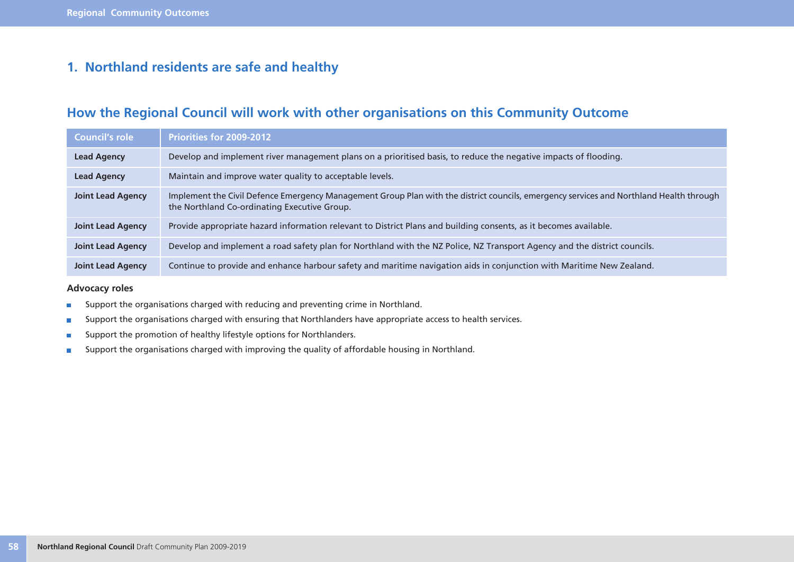### **1. Northland residents are safe and healthy**

### **How the Regional Council will work with other organisations on this Community Outcome**

| Council's role           | Priorities for 2009-2012                                                                                                                                                                |
|--------------------------|-----------------------------------------------------------------------------------------------------------------------------------------------------------------------------------------|
| <b>Lead Agency</b>       | Develop and implement river management plans on a prioritised basis, to reduce the negative impacts of flooding.                                                                        |
| <b>Lead Agency</b>       | Maintain and improve water quality to acceptable levels.                                                                                                                                |
| <b>Joint Lead Agency</b> | Implement the Civil Defence Emergency Management Group Plan with the district councils, emergency services and Northland Health through<br>the Northland Co-ordinating Executive Group. |
| <b>Joint Lead Agency</b> | Provide appropriate hazard information relevant to District Plans and building consents, as it becomes available.                                                                       |
| <b>Joint Lead Agency</b> | Develop and implement a road safety plan for Northland with the NZ Police, NZ Transport Agency and the district councils.                                                               |
| <b>Joint Lead Agency</b> | Continue to provide and enhance harbour safety and maritime navigation aids in conjunction with Maritime New Zealand.                                                                   |

**Advocacy roles**

- Support the organisations charged with reducing and preventing crime in Northland.  $\overline{\phantom{a}}$
- Support the organisations charged with ensuring that Northlanders have appropriate access to health services.  $\overline{\phantom{a}}$
- Support the promotion of healthy lifestyle options for Northlanders.  $\overline{\phantom{a}}$
- Support the organisations charged with improving the quality of affordable housing in Northland.  $\overline{\phantom{a}}$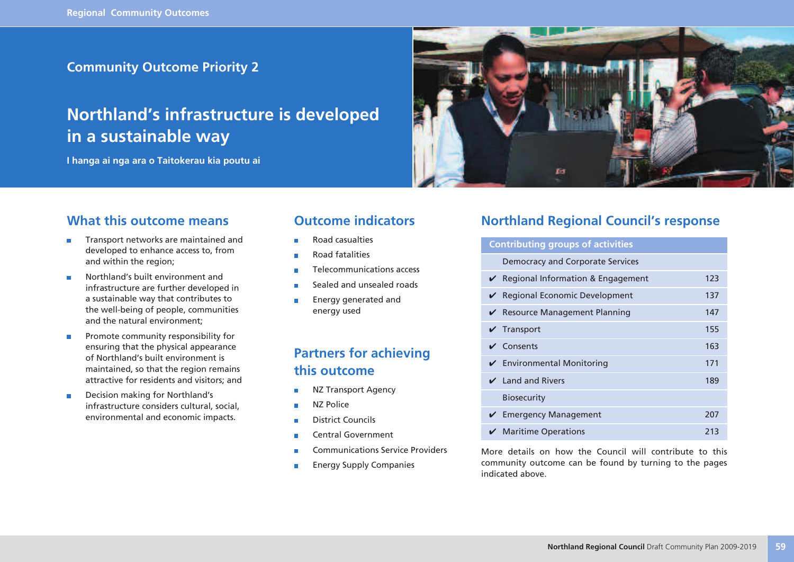**Community Outcome Priority 2**

## **Northland's infrastructure is developed in a sustainable way**

**I hanga ai nga ara o Taitokerau kia poutu ai**



### **What this outcome means**

- Transport networks are maintained and × developed to enhance access to, from and within the region;
- Northland's built environment and r. infrastructure are further developed in a sustainable way that contributes to the well-being of people, communities and the natural environment;
- Promote community responsibility for  $\overline{\phantom{a}}$ ensuring that the physical appearance of Northland's built environment is maintained, so that the region remains attractive for residents and visitors; and
- Decision making for Northland's  $\blacksquare$ infrastructure considers cultural, social, environmental and economic impacts.

### **Outcome indicators**

- Road casualties
- Road fatalities
- Telecommunications access T.
- Sealed and unsealed roads
- Energy generated and energy used

### **Partners for achieving this outcome**

- NZ Transport Agency
- NZ Police
- District Councils ÷
- Central Government п
- Communications Service Providers
- Energy Supply Companies

### **Northland Regional Council's response**

| <b>Contributing groups of activities</b>      |     |  |
|-----------------------------------------------|-----|--|
| Democracy and Corporate Services              |     |  |
| $\vee$ Regional Information & Engagement      | 123 |  |
| ✔ Regional Economic Development               | 137 |  |
| ✔ Resource Management Planning                | 147 |  |
| Transport                                     | 155 |  |
| $\vee$ Consents                               | 163 |  |
| ✔ Environmental Monitoring                    | 171 |  |
| $\vee$ Land and Rivers                        | 189 |  |
| <b>Biosecurity</b>                            |     |  |
| <b>Emergency Management</b>                   | 207 |  |
| $\boldsymbol{\checkmark}$ Maritime Operations | 213 |  |

More details on how the Council will contribute to this community outcome can be found by turning to the pages indicated above.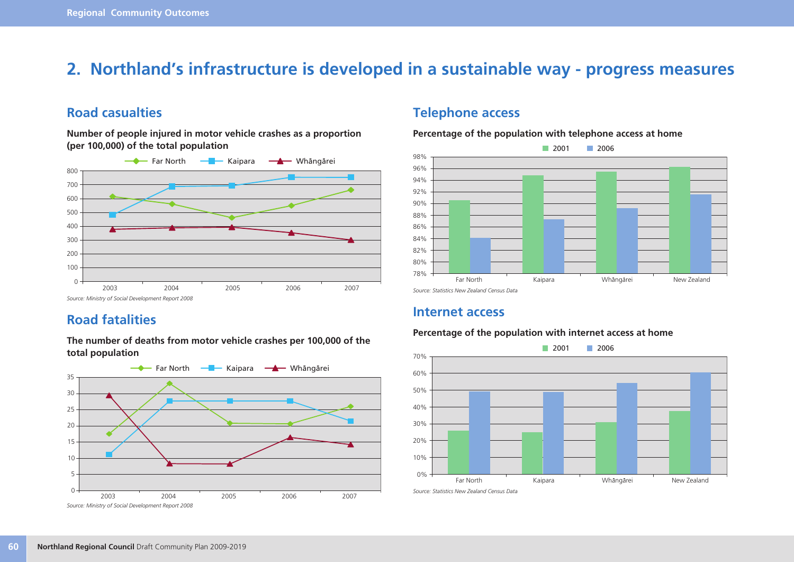## **2. Northland's infrastructure is developed in a sustainable way - progress measures**

### **Road casualties**

**Number of people injured in motor vehicle crashes as a proportion (per 100,000) of the total population**



### **Road fatalities**

**The number of deaths from motor vehicle crashes per 100,000 of the total population**



### **Telephone access**

**Percentage of the population with telephone access at home**



### **Internet access**

#### **Percentage of the population with internet access at home**

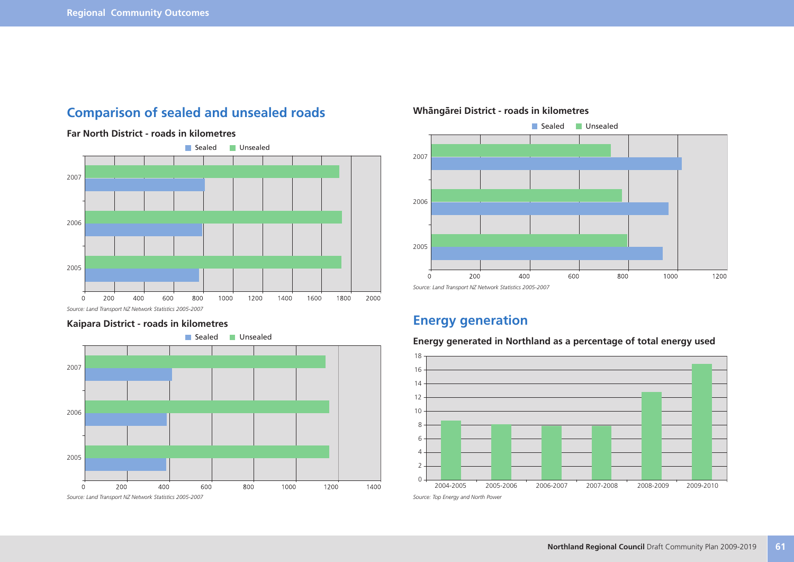### **Comparison of sealed and unsealed roads**



#### **Far North District - roads in kilometres**

*Source: Land Transport NZ Network Statistics 2005-2007*

#### **Kaipara District - roads in kilometres**





#### **Whängärei District - roads in kilometres**

### **Energy generation**

#### **Energy generated in Northland as a percentage of total energy used**

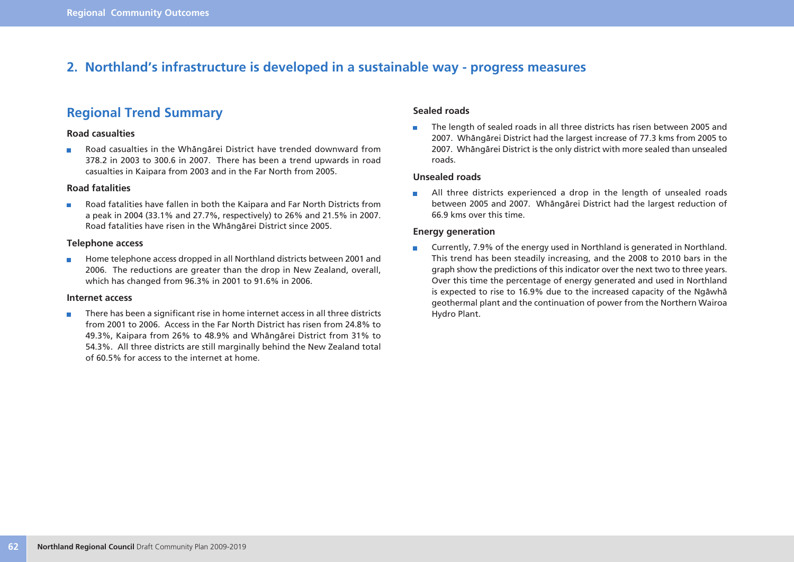### **2. Northland's infrastructure is developed in a sustainable way - progress measures**

### **Regional Trend Summary**

#### **Road casualties**

Road casualties in the Whängärei District have trended downward from  $\blacksquare$ 378.2 in 2003 to 300.6 in 2007. There has been a trend upwards in road casualties in Kaipara from 2003 and in the Far North from 2005.

#### **Road fatalities**

Road fatalities have fallen in both the Kaipara and Far North Districts from  $\overline{\phantom{a}}$ a peak in 2004 (33.1% and 27.7%, respectively) to 26% and 21.5% in 2007. Road fatalities have risen in the Whängärei District since 2005.

#### **Telephone access**

Home telephone access dropped in all Northland districts between 2001 and  $\overline{\phantom{a}}$ 2006. The reductions are greater than the drop in New Zealand, overall, which has changed from 96.3% in 2001 to 91.6% in 2006.

#### **Internet access**

There has been a significant rise in home internet access in all three districts × from 2001 to 2006. Access in the Far North District has risen from 24.8% to 49.3%, Kaipara from 26% to 48.9% and Whängärei District from 31% to 54.3%. All three districts are still marginally behind the New Zealand total of 60.5% for access to the internet at home.

#### **Sealed roads**

The length of sealed roads in all three districts has risen between 2005 and  $\blacksquare$ 2007. Whängärei District had the largest increase of 77.3 kms from 2005 to 2007. Whängärei District is the only district with more sealed than unsealed roads.

#### **Unsealed roads**

All three districts experienced a drop in the length of unsealed roads  $\Box$ between 2005 and 2007. Whängärei District had the largest reduction of 66.9 kms over this time.

#### **Energy generation**

Currently, 7.9% of the energy used in Northland is generated in Northland.  $\Box$ This trend has been steadily increasing, and the 2008 to 2010 bars in the graph show the predictions of this indicator over the next two to three years. Over this time the percentage of energy generated and used in Northland is expected to rise to 16.9% due to the increased capacity of the Ngäwhä geothermal plant and the continuation of power from the Northern Wairoa Hydro Plant.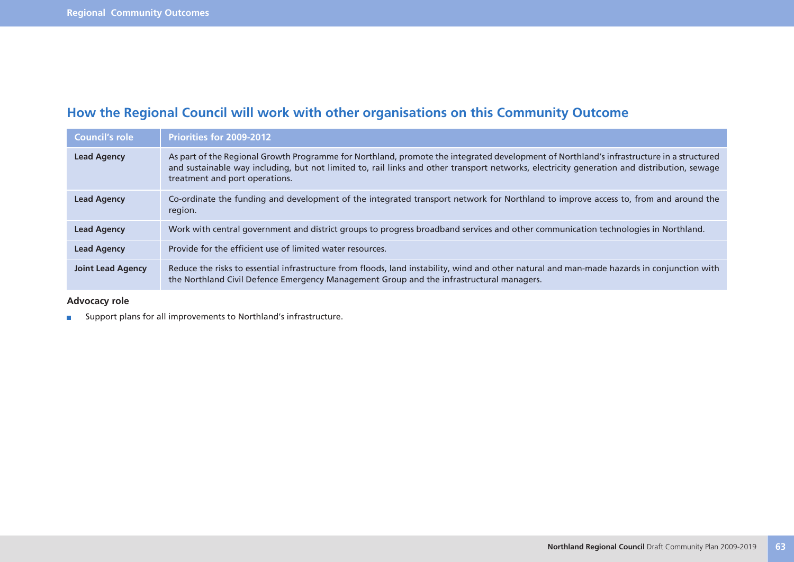## **How the Regional Council will work with other organisations on this Community Outcome**

| Council's role           | Priorities for 2009-2012                                                                                                                                                                                                                                                                                                  |
|--------------------------|---------------------------------------------------------------------------------------------------------------------------------------------------------------------------------------------------------------------------------------------------------------------------------------------------------------------------|
| <b>Lead Agency</b>       | As part of the Regional Growth Programme for Northland, promote the integrated development of Northland's infrastructure in a structured<br>and sustainable way including, but not limited to, rail links and other transport networks, electricity generation and distribution, sewage<br>treatment and port operations. |
| <b>Lead Agency</b>       | Co-ordinate the funding and development of the integrated transport network for Northland to improve access to, from and around the<br>region.                                                                                                                                                                            |
| <b>Lead Agency</b>       | Work with central government and district groups to progress broadband services and other communication technologies in Northland.                                                                                                                                                                                        |
| <b>Lead Agency</b>       | Provide for the efficient use of limited water resources.                                                                                                                                                                                                                                                                 |
| <b>Joint Lead Agency</b> | Reduce the risks to essential infrastructure from floods, land instability, wind and other natural and man-made hazards in conjunction with<br>the Northland Civil Defence Emergency Management Group and the infrastructural managers.                                                                                   |

**Advocacy role**

**EXECUTE:** Support plans for all improvements to Northland's infrastructure.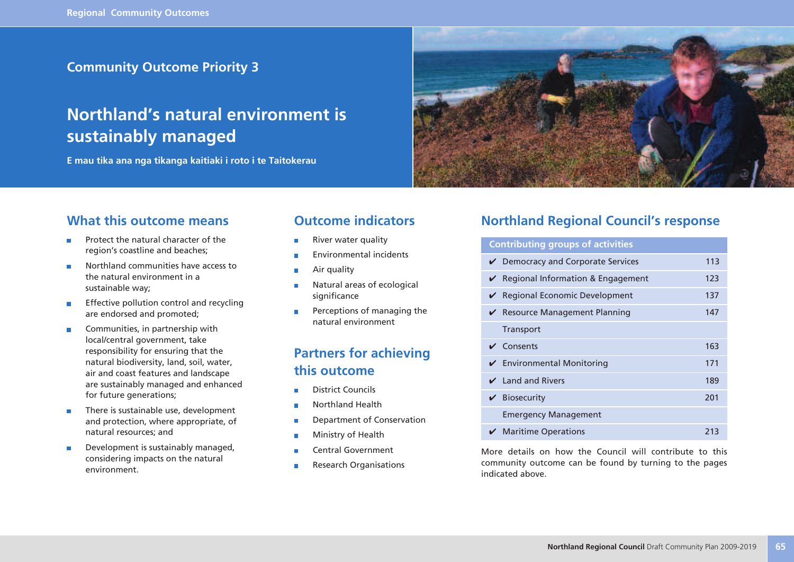### **Community Outcome Priority 3**

## **Northland's natural environment is sustainably managed**

**E mau tika ana nga tikanga kaitiaki i roto i te Taitokerau**



### **What this outcome means**

- Protect the natural character of the × region's coastline and beaches;
- $\overline{\phantom{a}}$ Northland communities have access to the natural environment in a sustainable way;
- Effective pollution control and recycling  $\overline{\phantom{a}}$ are endorsed and promoted;
- Communities, in partnership with × local/central government, take responsibility for ensuring that the natural biodiversity, land, soil, water, air and coast features and landscape are sustainably managed and enhanced for future generations;
- There is sustainable use, development  $\overline{\phantom{a}}$ and protection, where appropriate, of natural resources; and
- Development is sustainably managed,  $\overline{\phantom{a}}$ considering impacts on the natural environment.

### **Outcome indicators**

- River water quality
- Environmental incidents
- Air quality
- Natural areas of ecological × significance
- Perceptions of managing the × natural environment

### **Partners for achieving this outcome**

- District Councils
- Northland Health
- Department of Conservation T.
- Ministry of Health
- Central Government
- Research Organisations

### **Northland Regional Council's response**

| <b>Contributing groups of activities</b> |                                               |     |
|------------------------------------------|-----------------------------------------------|-----|
|                                          | Democracy and Corporate Services              | 113 |
|                                          | $\vee$ Regional Information & Engagement      | 123 |
|                                          | ✔ Regional Economic Development               | 137 |
|                                          | ✔ Resource Management Planning                | 147 |
|                                          | Transport                                     |     |
|                                          | $\vee$ Consents                               | 163 |
|                                          | $\checkmark$ Environmental Monitoring         | 171 |
|                                          | $\vee$ Land and Rivers                        | 189 |
|                                          | $\mathbf{\checkmark}$ Biosecurity             | 201 |
|                                          | <b>Emergency Management</b>                   |     |
|                                          | $\boldsymbol{\checkmark}$ Maritime Operations | 213 |

More details on how the Council will contribute to this community outcome can be found by turning to the pages indicated above.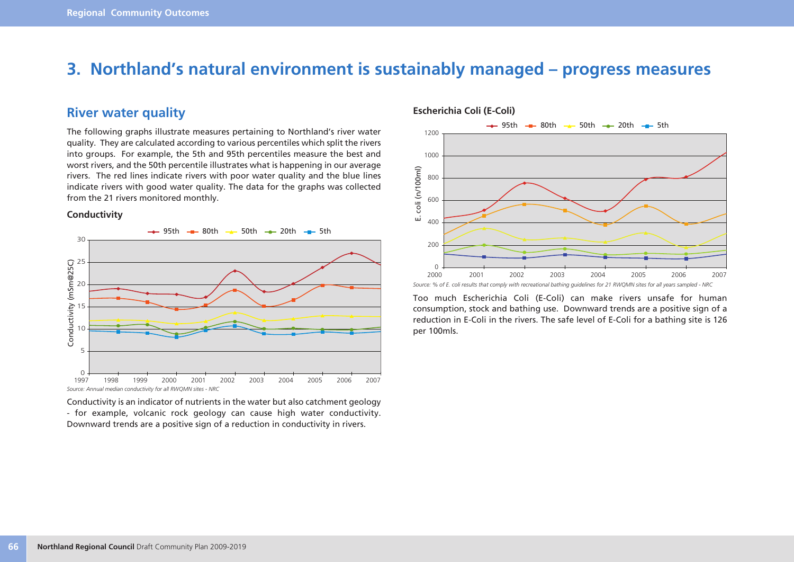## **3. Northland's natural environment is sustainably managed – progress measures**

### **River water quality**

The following graphs illustrate measures pertaining to Northland's river water quality. They are calculated according to various percentiles which split the rivers into groups. For example, the 5th and 95th percentiles measure the best and worst rivers, and the 50th percentile illustrates what is happening in our average rivers. The red lines indicate rivers with poor water quality and the blue lines indicate rivers with good water quality. The data for the graphs was collected from the 21 rivers monitored monthly.

#### **Conductivity**



Conductivity is an indicator of nutrients in the water but also catchment geology - for example, volcanic rock geology can cause high water conductivity. Downward trends are a positive sign of a reduction in conductivity in rivers.



#### **Escherichia Coli (E-Coli)**

Too much Escherichia Coli (E-Coli) can make rivers unsafe for human consumption, stock and bathing use. Downward trends are a positive sign of a reduction in E-Coli in the rivers. The safe level of E-Coli for a bathing site is 126 per 100mls.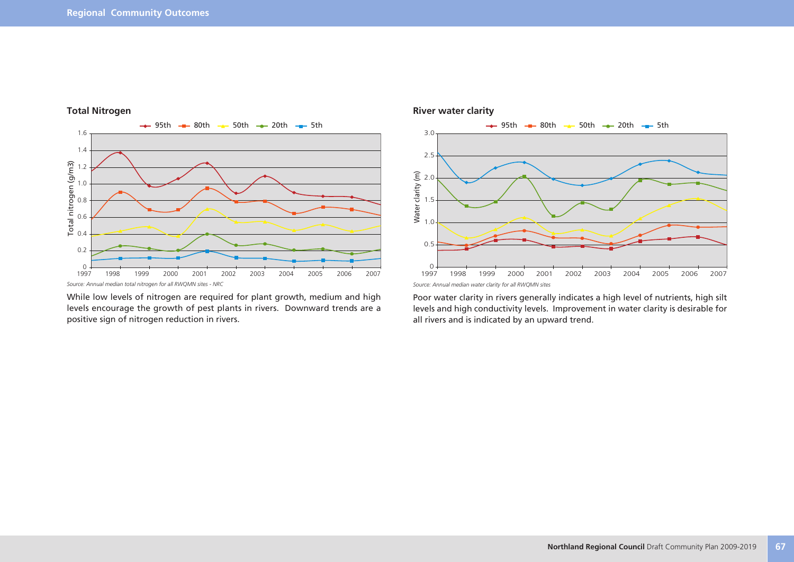

#### **Total Nitrogen**

While low levels of nitrogen are required for plant growth, medium and high levels encourage the growth of pest plants in rivers. Downward trends are a positive sign of nitrogen reduction in rivers.



Poor water clarity in rivers generally indicates a high level of nutrients, high silt levels and high conductivity levels. Improvement in water clarity is desirable for all rivers and is indicated by an upward trend.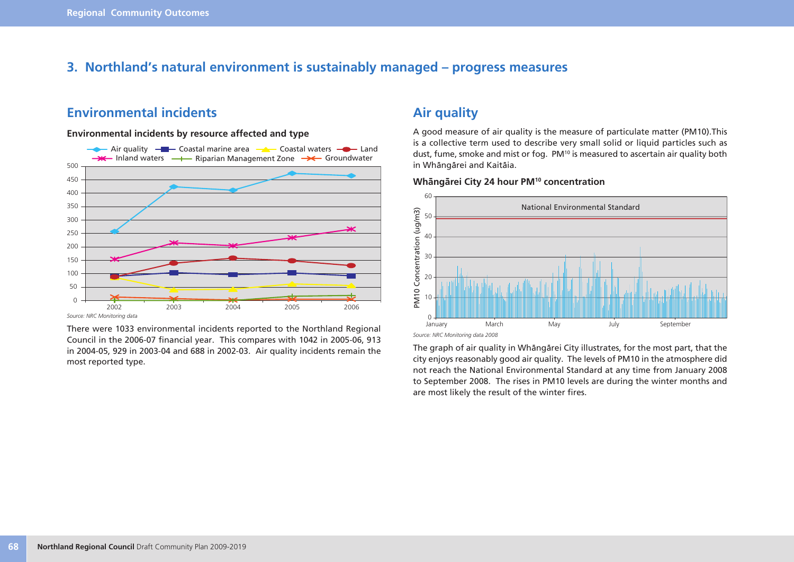### **3. Northland's natural environment is sustainably managed – progress measures**

### **Environmental incidents**

#### **Environmental incidents by resource affected and type**



*Source: NRC Monitoring data*

There were 1033 environmental incidents reported to the Northland Regional Council in the 2006-07 financial year. This compares with 1042 in 2005-06, 913 in 2004-05, 929 in 2003-04 and 688 in 2002-03. Air quality incidents remain the most reported type.

### **Air quality**

A good measure of air quality is the measure of particulate matter (PM10).This is a collective term used to describe very small solid or liquid particles such as dust, fume, smoke and mist or fog. PM<sup>10</sup> is measured to ascertain air quality both in Whängärei and Kaitäia.

### **Whängärei City 24 hour PM10 concentration**



The graph of air quality in Whängärei City illustrates, for the most part, that the city enjoys reasonably good air quality. The levels of PM10 in the atmosphere did not reach the National Environmental Standard at any time from January 2008 to September 2008. The rises in PM10 levels are during the winter months and are most likely the result of the winter fires.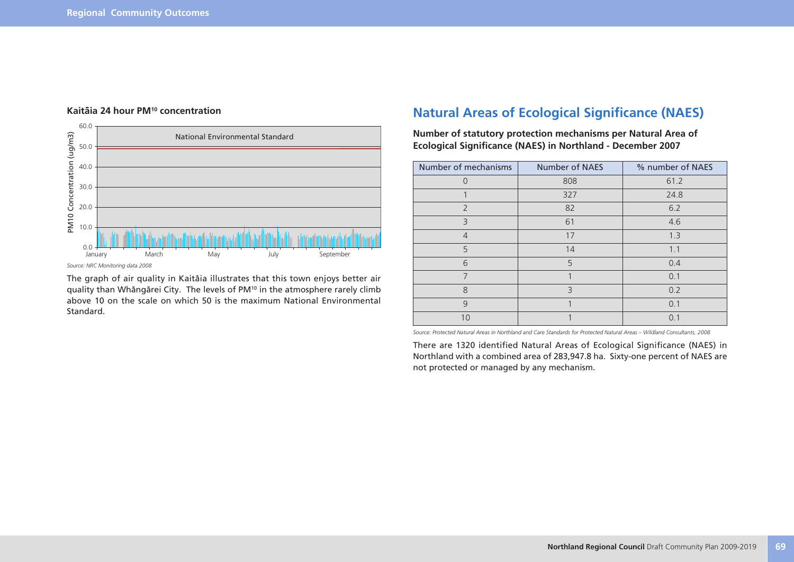

#### **Kaitäia 24 hour PM10 concentration**

The graph of air quality in Kaitäia illustrates that this town enjoys better air quality than Whängärei City. The levels of PM10 in the atmosphere rarely climb above 10 on the scale on which 50 is the maximum National Environmental Standard.

### **Natural Areas of Ecological Significance (NAES)**

**Number of statutory protection mechanisms per Natural Area of Ecological Significance (NAES) in Northland - December 2007**

| Number of mechanisms | <b>Number of NAES</b> | % number of NAES |
|----------------------|-----------------------|------------------|
| $\Omega$             | 808                   | 61.2             |
|                      | 327                   | 24.8             |
| $\overline{2}$       | 82                    | 6.2              |
| 3                    | 61                    | 4.6              |
| $\overline{4}$       | 17                    | 1.3              |
| 5                    | 14                    | 1.1              |
| 6                    | 5                     | 0.4              |
| $\overline{7}$       |                       | 0.1              |
| 8                    | 3                     | 0.2              |
| 9                    |                       | 0.1              |
| 10                   |                       | 0.1              |

*Source: Protected Natural Areas in Northland and Care Standards for Protected Natural Areas – Wildland Consultants, 2008*

There are 1320 identified Natural Areas of Ecological Significance (NAES) in Northland with a combined area of 283,947.8 ha. Sixty-one percent of NAES are not protected or managed by any mechanism.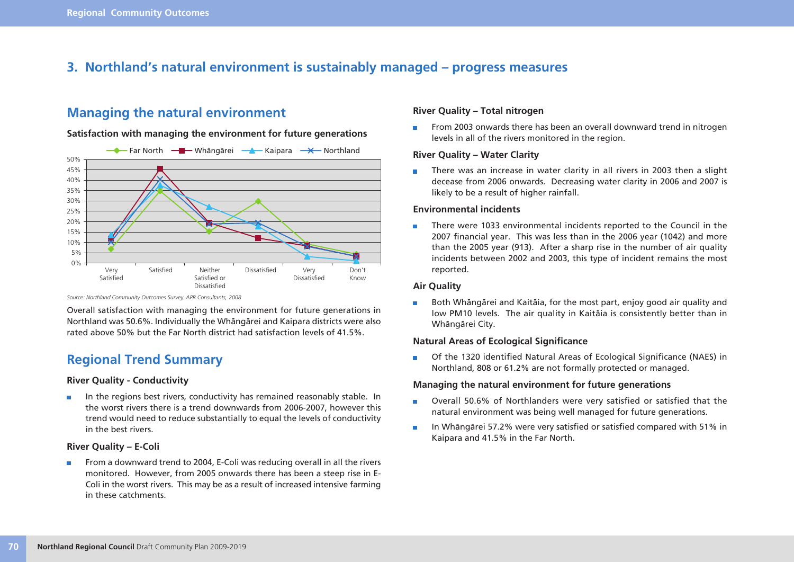### **3. Northland's natural environment is sustainably managed – progress measures**

### **Managing the natural environment**

#### **Satisfaction with managing the environment for future generations**



*Source: Northland Community Outcomes Survey, APR Consultants, 2008*

Overall satisfaction with managing the environment for future generations in Northland was 50.6%. Individually the Whängärei and Kaipara districts were also rated above 50% but the Far North district had satisfaction levels of 41.5%.

### **Regional Trend Summary**

#### **River Quality - Conductivity**

In the regions best rivers, conductivity has remained reasonably stable. In  $\overline{\phantom{a}}$ the worst rivers there is a trend downwards from 2006-2007, however this trend would need to reduce substantially to equal the levels of conductivity in the best rivers.

#### **River Quality – E-Coli**

From a downward trend to 2004, E-Coli was reducing overall in all the rivers  $\overline{\phantom{a}}$ monitored. However, from 2005 onwards there has been a steep rise in E-Coli in the worst rivers. This may be as a result of increased intensive farming in these catchments.

#### **River Quality – Total nitrogen**

From 2003 onwards there has been an overall downward trend in nitrogen  $\mathcal{L}_{\mathcal{A}}$ levels in all of the rivers monitored in the region.

#### **River Quality – Water Clarity**

There was an increase in water clarity in all rivers in 2003 then a slight  $\mathcal{L}_{\mathcal{A}}$ decease from 2006 onwards. Decreasing water clarity in 2006 and 2007 is likely to be a result of higher rainfall.

#### **Environmental incidents**

There were 1033 environmental incidents reported to the Council in the m. 2007 financial year. This was less than in the 2006 year (1042) and more than the 2005 year (913). After a sharp rise in the number of air quality incidents between 2002 and 2003, this type of incident remains the most reported.

#### **Air Quality**

Both Whängärei and Kaitäia, for the most part, enjoy good air quality and low PM10 levels. The air quality in Kaitäia is consistently better than in Whängärei City.

#### **Natural Areas of Ecological Significance**

Of the 1320 identified Natural Areas of Ecological Significance (NAES) in  $\overline{\phantom{a}}$ Northland, 808 or 61.2% are not formally protected or managed.

#### **Managing the natural environment for future generations**

- Overall 50.6% of Northlanders were very satisfied or satisfied that the  $\Box$ natural environment was being well managed for future generations.
- In Whängärei 57.2% were very satisfied or satisfied compared with 51% in  $\Box$ Kaipara and 41.5% in the Far North.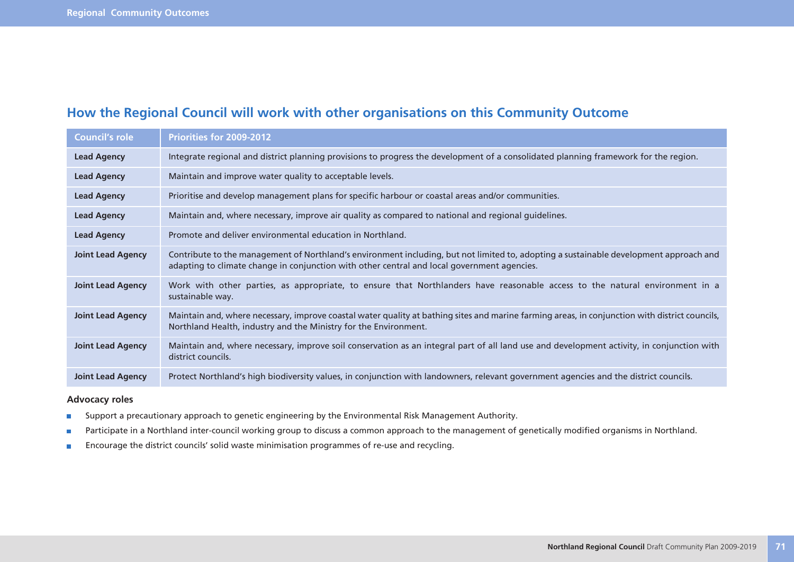## **How the Regional Council will work with other organisations on this Community Outcome**

| <b>Council's role</b>    | <b>Priorities for 2009-2012</b>                                                                                                                                                                                                       |
|--------------------------|---------------------------------------------------------------------------------------------------------------------------------------------------------------------------------------------------------------------------------------|
| <b>Lead Agency</b>       | Integrate regional and district planning provisions to progress the development of a consolidated planning framework for the region.                                                                                                  |
| <b>Lead Agency</b>       | Maintain and improve water quality to acceptable levels.                                                                                                                                                                              |
| <b>Lead Agency</b>       | Prioritise and develop management plans for specific harbour or coastal areas and/or communities.                                                                                                                                     |
| <b>Lead Agency</b>       | Maintain and, where necessary, improve air quality as compared to national and regional guidelines.                                                                                                                                   |
| <b>Lead Agency</b>       | Promote and deliver environmental education in Northland.                                                                                                                                                                             |
| <b>Joint Lead Agency</b> | Contribute to the management of Northland's environment including, but not limited to, adopting a sustainable development approach and<br>adapting to climate change in conjunction with other central and local government agencies. |
| <b>Joint Lead Agency</b> | Work with other parties, as appropriate, to ensure that Northlanders have reasonable access to the natural environment in a<br>sustainable way.                                                                                       |
| <b>Joint Lead Agency</b> | Maintain and, where necessary, improve coastal water quality at bathing sites and marine farming areas, in conjunction with district councils,<br>Northland Health, industry and the Ministry for the Environment.                    |
| <b>Joint Lead Agency</b> | Maintain and, where necessary, improve soil conservation as an integral part of all land use and development activity, in conjunction with<br>district councils.                                                                      |
| <b>Joint Lead Agency</b> | Protect Northland's high biodiversity values, in conjunction with landowners, relevant government agencies and the district councils.                                                                                                 |

#### **Advocacy roles**

- Support a precautionary approach to genetic engineering by the Environmental Risk Management Authority.  $\blacksquare$
- Participate in a Northland inter-council working group to discuss a common approach to the management of genetically modified organisms in Northland.  $\overline{\phantom{a}}$
- Encourage the district councils' solid waste minimisation programmes of re-use and recycling. $\overline{\phantom{a}}$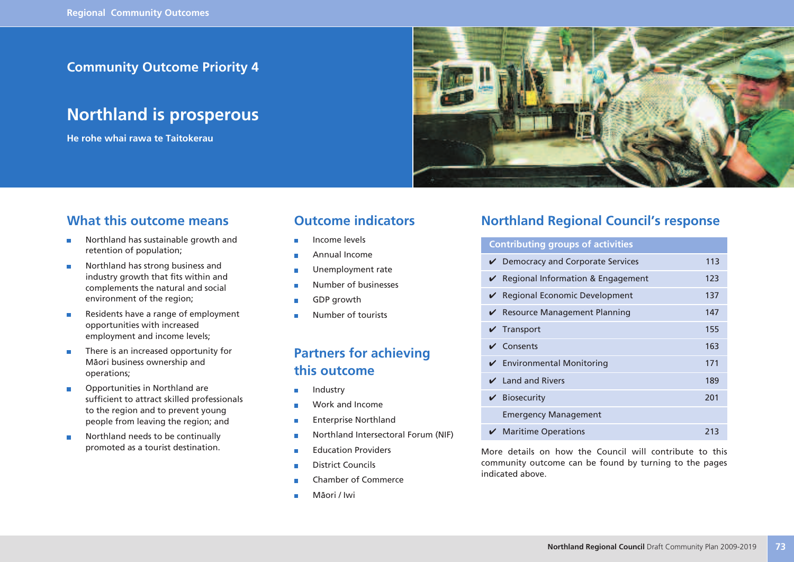### **Community Outcome Priority 4**

## **Northland is prosperous**

**He rohe whai rawa te Taitokerau**



### **What this outcome means**

- Northland has sustainable growth and  $\overline{\phantom{a}}$ retention of population;
- Northland has strong business and  $\overline{\phantom{a}}$ industry growth that fits within and complements the natural and social environment of the region;
- Residents have a range of employment × opportunities with increased employment and income levels;
- There is an increased opportunity for r. Mäori business ownership and operations;
- Opportunities in Northland are  $\overline{\phantom{a}}$ sufficient to attract skilled professionals to the region and to prevent young people from leaving the region; and
- Northland needs to be continually  $\overline{\phantom{a}}$ promoted as a tourist destination.

### **Outcome indicators**

- Income levels
- Annual Income
- Unemployment rate П
- Number of businesses
- GDP growth
- Number of tourists

### **Partners for achieving this outcome**

- Industry г
- Work and Income
- Enterprise Northland T.
- Northland Intersectoral Forum (NIF) п
- Education Providers
- District Councils
- Chamber of Commerce
- Mäori / Iwi

### **Northland Regional Council's response**

# **Contributing groups of activities**

| $\vee$ Democracy and Corporate Services       | 113 |
|-----------------------------------------------|-----|
| $\vee$ Regional Information & Engagement      | 123 |
| $\vee$ Regional Economic Development          | 137 |
| $\vee$ Resource Management Planning           | 147 |
| $\sqrt{}$ Transport                           | 155 |
| $\vee$ Consents                               | 163 |
| $\checkmark$ Environmental Monitoring         | 171 |
| $\angle$ Land and Rivers                      | 189 |
| $\mathbf{\checkmark}$ Biosecurity             | 201 |
| <b>Emergency Management</b>                   |     |
| $\boldsymbol{\checkmark}$ Maritime Operations | 213 |

More details on how the Council will contribute to this community outcome can be found by turning to the pages indicated above.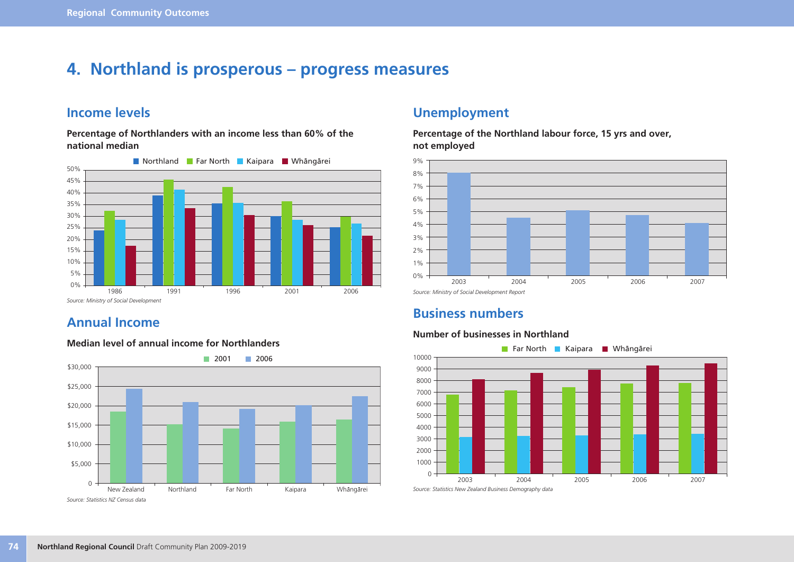## **4. Northland is prosperous – progress measures**

### **Income levels**

**Percentage of Northlanders with an income less than 60% of the national median**



### **Annual Income**

#### **Median level of annual income for Northlanders**



### **Unemployment**

**Percentage of the Northland labour force, 15 yrs and over, not employed**



### **Business numbers**

#### **Number of businesses in Northland**

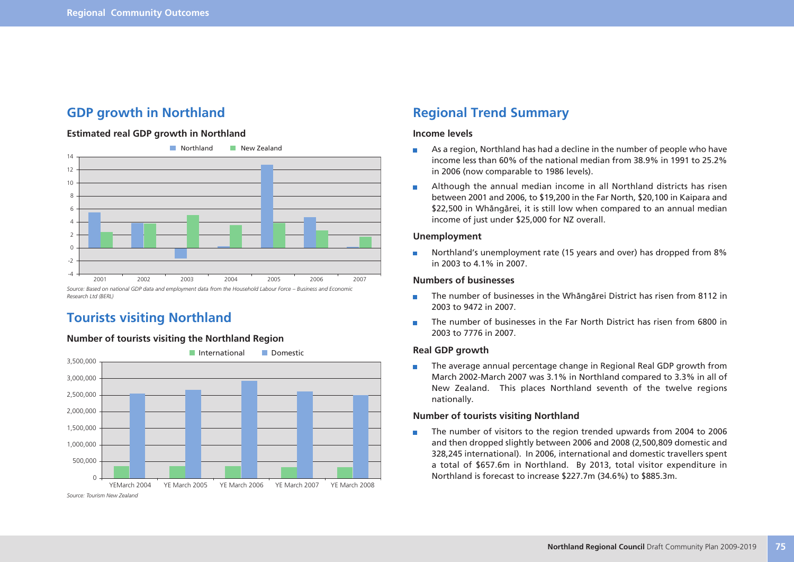### **GDP growth in Northland**

#### **Estimated real GDP growth in Northland**



*Research Ltd (BERL)*

### **Tourists visiting Northland**

#### **Number of tourists visiting the Northland Region**



### **Regional Trend Summary**

#### **Income levels**

- As a region, Northland has had a decline in the number of people who have  $\blacksquare$ income less than 60% of the national median from 38.9% in 1991 to 25.2% in 2006 (now comparable to 1986 levels).
- Although the annual median income in all Northland districts has risen m. between 2001 and 2006, to \$19,200 in the Far North, \$20,100 in Kaipara and \$22,500 in Whängärei, it is still low when compared to an annual median income of just under \$25,000 for NZ overall.

#### **Unemployment**

Northland's unemployment rate (15 years and over) has dropped from 8%  $\Box$ in 2003 to 4.1% in 2007.

#### **Numbers of businesses**

- The number of businesses in the Whängärei District has risen from 8112 in  $\Box$ 2003 to 9472 in 2007.
- The number of businesses in the Far North District has risen from 6800 in m. 2003 to 7776 in 2007.

#### **Real GDP growth**

The average annual percentage change in Regional Real GDP growth from  $\mathcal{C}^{\mathcal{A}}$ March 2002-March 2007 was 3.1% in Northland compared to 3.3% in all of New Zealand. This places Northland seventh of the twelve regions nationally.

#### **Number of tourists visiting Northland**

The number of visitors to the region trended upwards from 2004 to 2006  $\Box$ and then dropped slightly between 2006 and 2008 (2,500,809 domestic and 328,245 international). In 2006, international and domestic travellers spent a total of \$657.6m in Northland. By 2013, total visitor expenditure in Northland is forecast to increase \$227.7m (34.6%) to \$885.3m.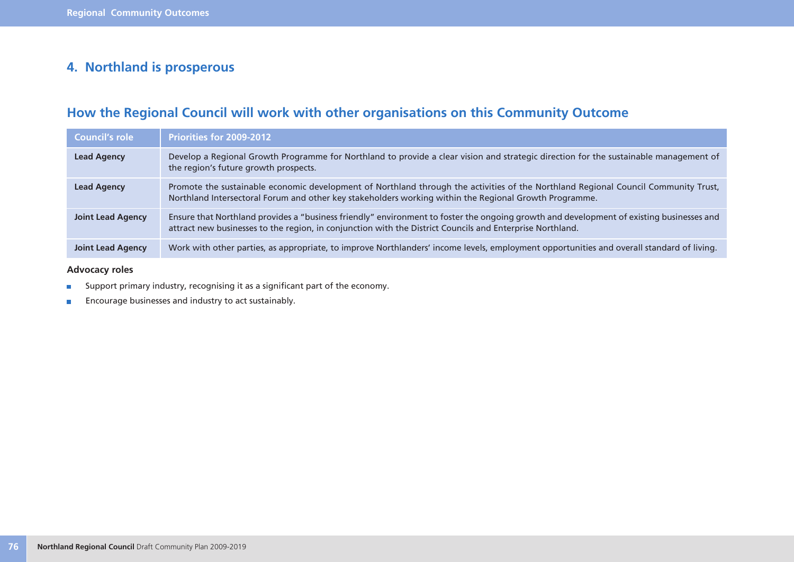### **4. Northland is prosperous**

## **How the Regional Council will work with other organisations on this Community Outcome**

| <b>Council's role</b>    | <b>Priorities for 2009-2012</b>                                                                                                                                                                                                                       |
|--------------------------|-------------------------------------------------------------------------------------------------------------------------------------------------------------------------------------------------------------------------------------------------------|
| <b>Lead Agency</b>       | Develop a Regional Growth Programme for Northland to provide a clear vision and strategic direction for the sustainable management of<br>the region's future growth prospects.                                                                        |
| <b>Lead Agency</b>       | Promote the sustainable economic development of Northland through the activities of the Northland Regional Council Community Trust,<br>Northland Intersectoral Forum and other key stakeholders working within the Regional Growth Programme.         |
| <b>Joint Lead Agency</b> | Ensure that Northland provides a "business friendly" environment to foster the ongoing growth and development of existing businesses and<br>attract new businesses to the region, in conjunction with the District Councils and Enterprise Northland. |
| <b>Joint Lead Agency</b> | Work with other parties, as appropriate, to improve Northlanders' income levels, employment opportunities and overall standard of living.                                                                                                             |

#### **Advocacy roles**

- Support primary industry, recognising it as a significant part of the economy.  $\overline{\phantom{a}}$
- Encourage businesses and industry to act sustainably.  $\overline{\phantom{a}}$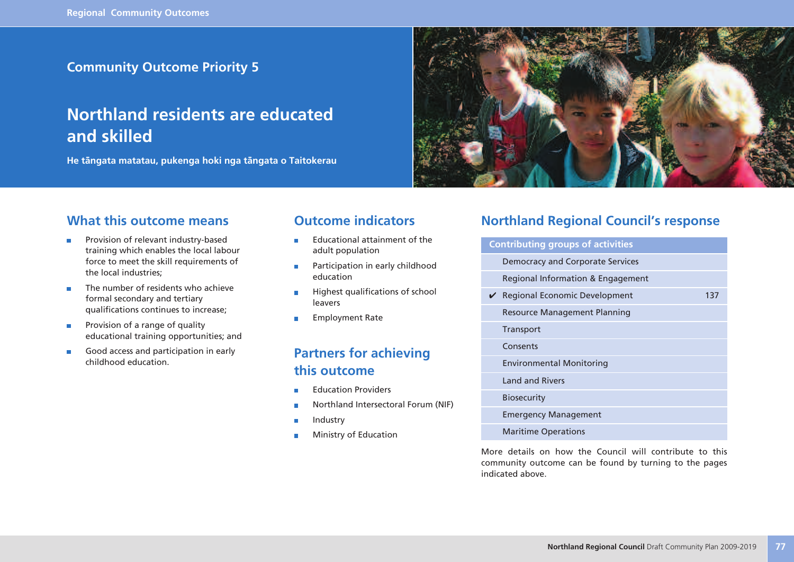### **Community Outcome Priority 5**

## **Northland residents are educated and skilled**

**He tängata matatau, pukenga hoki nga tängata o Taitokerau**



### **What this outcome means**

- Provision of relevant industry-based × training which enables the local labour force to meet the skill requirements of the local industries;
- The number of residents who achieve  $\blacksquare$ formal secondary and tertiary qualifications continues to increase;
- Provision of a range of quality  $\overline{\phantom{a}}$ educational training opportunities; and
- Good access and participation in early r. childhood education.

### **Outcome indicators**

- Educational attainment of the  $\overline{\phantom{a}}$ adult population
- Participation in early childhood  $\overline{\phantom{a}}$ education
- Highest qualifications of school × leavers
- Employment Rate ×

### **Partners for achieving this outcome**

- Education Providers
- Northland Intersectoral Forum (NIF)
- Industry T.
- Ministry of Education

### **Northland Regional Council's response**

| <b>Contributing groups of activities</b> |     |
|------------------------------------------|-----|
| Democracy and Corporate Services         |     |
| Regional Information & Engagement        |     |
| ✔ Regional Economic Development          | 137 |
| <b>Resource Management Planning</b>      |     |
| <b>Transport</b>                         |     |
| Consents                                 |     |
| <b>Environmental Monitoring</b>          |     |
| <b>Land and Rivers</b>                   |     |
| <b>Biosecurity</b>                       |     |
| <b>Emergency Management</b>              |     |
| <b>Maritime Operations</b>               |     |

More details on how the Council will contribute to this community outcome can be found by turning to the pages indicated above.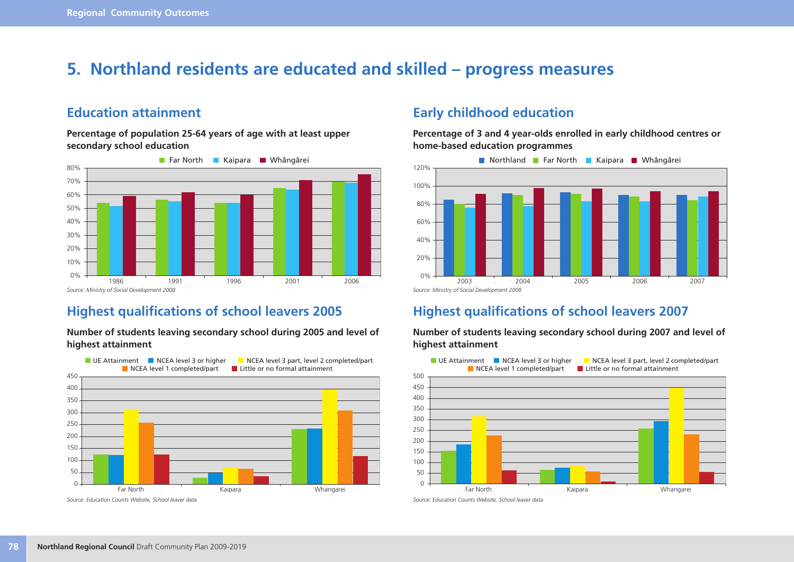## **5. Northland residents are educated and skilled – progress measures**

### **Education attainment**

**Percentage of population 25-64 years of age with at least upper secondary school education**



### **Highest qualifications of school leavers 2005**

#### **Number of students leaving secondary school during 2005 and level of highest attainment**



### **Early childhood education**

**Percentage of 3 and 4 year-olds enrolled in early childhood centres or home-based education programmes**



### **Highest qualifications of school leavers 2007**



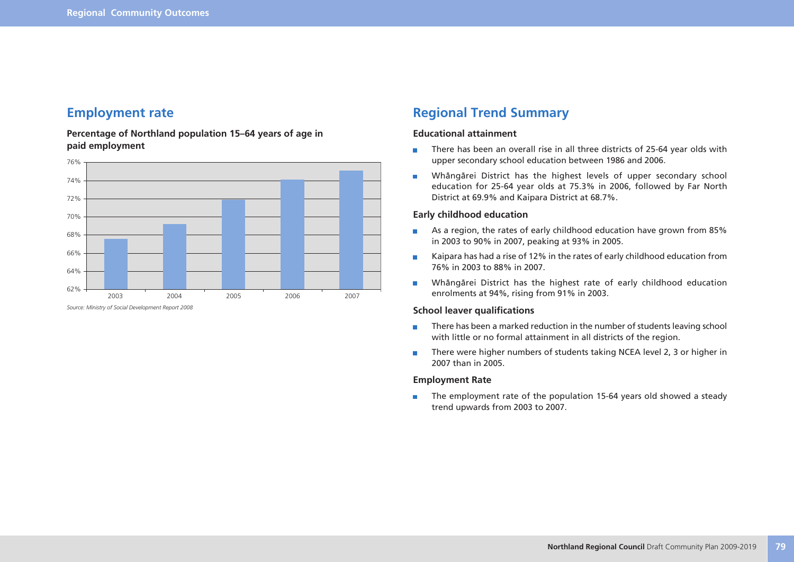### **Employment rate**

**Percentage of Northland population 15–64 years of age in paid employment**



### **Regional Trend Summary**

#### **Educational attainment**

- There has been an overall rise in all three districts of 25-64 year olds with T. upper secondary school education between 1986 and 2006.
- Whängärei District has the highest levels of upper secondary school  $\overline{\phantom{a}}$ education for 25-64 year olds at 75.3% in 2006, followed by Far North District at 69.9% and Kaipara District at 68.7%.

#### **Early childhood education**

- As a region, the rates of early childhood education have grown from 85%  $\Box$ in 2003 to 90% in 2007, peaking at 93% in 2005.
- Kaipara has had a rise of 12% in the rates of early childhood education from m. 76% in 2003 to 88% in 2007.
- Whängärei District has the highest rate of early childhood education  $\overline{\phantom{a}}$ enrolments at 94%, rising from 91% in 2003.

#### **School leaver qualifications**

- There has been a marked reduction in the number of students leaving school  $\mathbb{R}^n$ with little or no formal attainment in all districts of the region.
- There were higher numbers of students taking NCEA level 2, 3 or higher in  $\blacksquare$ 2007 than in 2005.

#### **Employment Rate**

The employment rate of the population 15-64 years old showed a steady  $\blacksquare$ trend upwards from 2003 to 2007.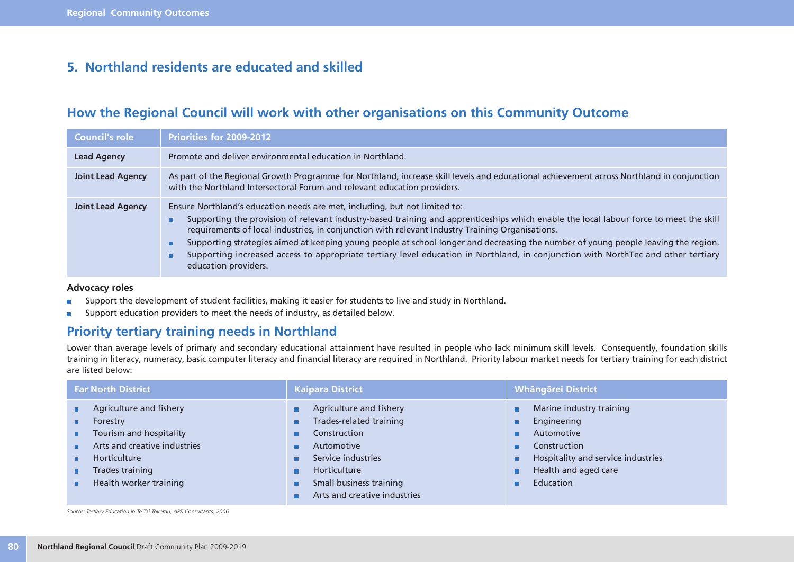### **5. Northland residents are educated and skilled**

### **How the Regional Council will work with other organisations on this Community Outcome**

| <b>Council's role</b>    | <b>Priorities for 2009-2012</b>                                                                                                                                                                                                                                                                                                                                                                                                                                                                                                                                                                                                      |
|--------------------------|--------------------------------------------------------------------------------------------------------------------------------------------------------------------------------------------------------------------------------------------------------------------------------------------------------------------------------------------------------------------------------------------------------------------------------------------------------------------------------------------------------------------------------------------------------------------------------------------------------------------------------------|
| <b>Lead Agency</b>       | Promote and deliver environmental education in Northland.                                                                                                                                                                                                                                                                                                                                                                                                                                                                                                                                                                            |
| <b>Joint Lead Agency</b> | As part of the Regional Growth Programme for Northland, increase skill levels and educational achievement across Northland in conjunction<br>with the Northland Intersectoral Forum and relevant education providers.                                                                                                                                                                                                                                                                                                                                                                                                                |
| <b>Joint Lead Agency</b> | Ensure Northland's education needs are met, including, but not limited to:<br>Supporting the provision of relevant industry-based training and apprenticeships which enable the local labour force to meet the skill<br>п<br>requirements of local industries, in conjunction with relevant Industry Training Organisations.<br>Supporting strategies aimed at keeping young people at school longer and decreasing the number of young people leaving the region.<br>г<br>Supporting increased access to appropriate tertiary level education in Northland, in conjunction with NorthTec and other tertiary<br>education providers. |

#### **Advocacy roles**

- Support the development of student facilities, making it easier for students to live and study in Northland.  $\overline{\phantom{a}}$
- Support education providers to meet the needs of industry, as detailed below.  $\overline{\phantom{a}}$

### **Priority tertiary training needs in Northland**

Lower than average levels of primary and secondary educational attainment have resulted in people who lack minimum skill levels. Consequently, foundation skills training in literacy, numeracy, basic computer literacy and financial literacy are required in Northland. Priority labour market needs for tertiary training for each district are listed below:

| <b>Far North District</b>                                                                                                                                         | <b>Kaipara District</b>                                                                                                                                                           | <b>Whāngārei District</b>                                                                                                                                  |  |  |
|-------------------------------------------------------------------------------------------------------------------------------------------------------------------|-----------------------------------------------------------------------------------------------------------------------------------------------------------------------------------|------------------------------------------------------------------------------------------------------------------------------------------------------------|--|--|
| Agriculture and fishery<br>Forestry<br>Tourism and hospitality<br>п.<br>Arts and creative industries<br>Horticulture<br>Trades training<br>Health worker training | Agriculture and fishery<br>Trades-related training<br>Construction<br>Automotive<br>Service industries<br>Horticulture<br>Small business training<br>Arts and creative industries | Marine industry training<br>٠<br>Engineering<br>Automotive<br>Construction<br>Hospitality and service industries<br>Health and aged care<br>٠<br>Education |  |  |

*Source: Tertiary Education in Te Tai Tokerau, APR Consultants, 2006*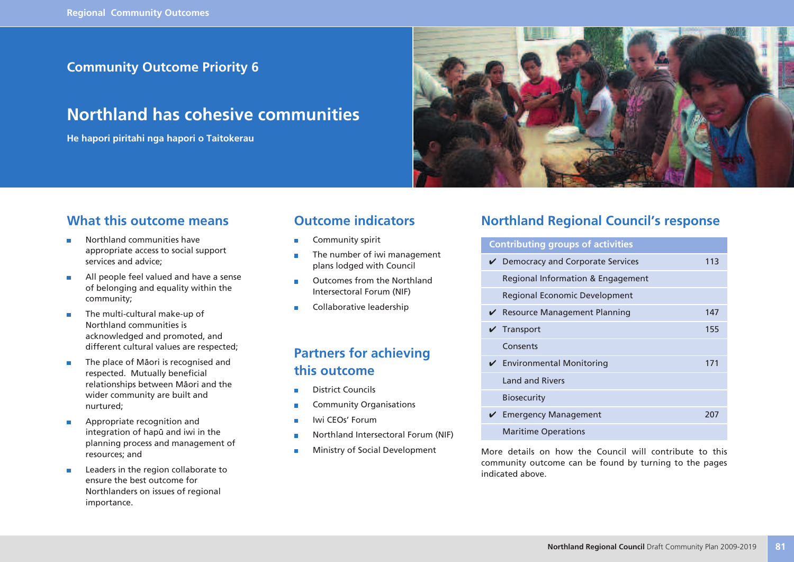### **Community Outcome Priority 6**

## **Northland has cohesive communities**

**He hapori piritahi nga hapori o Taitokerau**



### **What this outcome means**

- Northland communities have × appropriate access to social support services and advice;
- All people feel valued and have a sense r. of belonging and equality within the community;
- The multi-cultural make-up of × Northland communities is acknowledged and promoted, and different cultural values are respected;
- The place of Mäori is recognised and  $\overline{\phantom{a}}$ respected. Mutually beneficial relationships between Mäori and the wider community are built and nurtured;
- Appropriate recognition and F integration of hapü and iwi in the planning process and management of resources; and
- Leaders in the region collaborate to  $\overline{\phantom{a}}$ ensure the best outcome for Northlanders on issues of regional importance.

### **Outcome indicators**

- Community spirit
- The number of iwi management × plans lodged with Council
- Outcomes from the Northland  $\overline{a}$ Intersectoral Forum (NIF)
- Collaborative leadership ×

### **Partners for achieving this outcome**

- District Councils
- Community Organisations
- Iwi CEOs' Forum
- Northland Intersectoral Forum (NIF)
- Ministry of Social Development

### **Northland Regional Council's response**

| <b>Contributing groups of activities</b> |     |  |  |  |  |  |  |
|------------------------------------------|-----|--|--|--|--|--|--|
| $\vee$ Democracy and Corporate Services  | 113 |  |  |  |  |  |  |
| Regional Information & Engagement        |     |  |  |  |  |  |  |
| <b>Regional Economic Development</b>     |     |  |  |  |  |  |  |
| $\vee$ Resource Management Planning      | 147 |  |  |  |  |  |  |
| Transport                                | 155 |  |  |  |  |  |  |
| Consents                                 |     |  |  |  |  |  |  |
| $\checkmark$ Environmental Monitoring    | 171 |  |  |  |  |  |  |
| <b>Land and Rivers</b>                   |     |  |  |  |  |  |  |
| <b>Biosecurity</b>                       |     |  |  |  |  |  |  |
| <b>Emergency Management</b>              | 207 |  |  |  |  |  |  |
| <b>Maritime Operations</b>               |     |  |  |  |  |  |  |

More details on how the Council will contribute to this community outcome can be found by turning to the pages indicated above.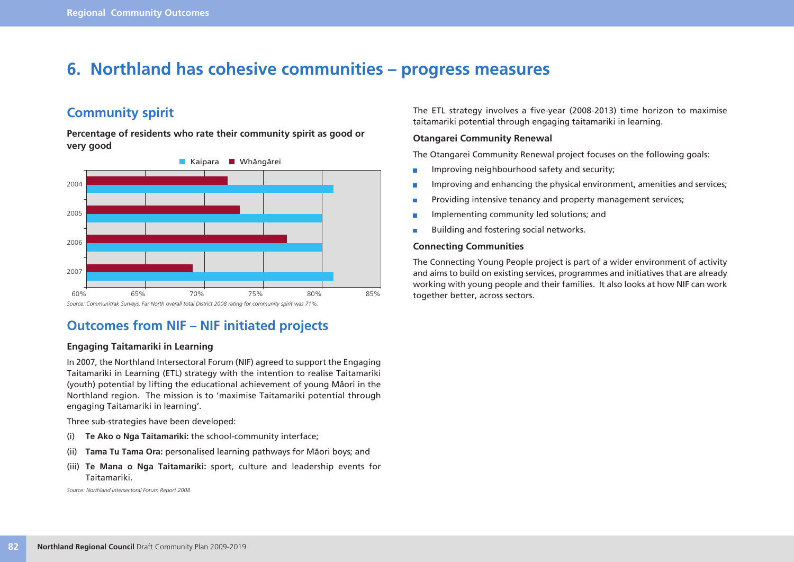## **6. Northland has cohesive communities – progress measures**

### **Community spirit**

**Percentage of residents who rate their community spirit as good or very good**



### **Outcomes from NIF – NIF initiated projects**

#### **Engaging Taitamariki in Learning**

In 2007, the Northland Intersectoral Forum (NIF) agreed to support the Engaging Taitamariki in Learning (ETL) strategy with the intention to realise Taitamariki (youth) potential by lifting the educational achievement of young Mäori in the Northland region. The mission is to 'maximise Taitamariki potential through engaging Taitamariki in learning'.

Three sub-strategies have been developed:

- (i) **Te Ako o Nga Taitamariki:** the school-community interface;
- (ii) **Tama Tu Tama Ora:** personalised learning pathways for Mäori boys; and
- (iii) **Te Mana o Nga Taitamariki:** sport, culture and leadership events for Taitamariki.

*Source: Northland Intersectoral Forum Report 2008*

The ETL strategy involves a five-year (2008-2013) time horizon to maximise taitamariki potential through engaging taitamariki in learning.

#### **Otangarei Community Renewal**

The Otangarei Community Renewal project focuses on the following goals:

- Improving neighbourhood safety and security; П
- Improving and enhancing the physical environment, amenities and services; П
- Providing intensive tenancy and property management services; Ē
- Implementing community led solutions; and П
- Building and fostering social networks. П

#### **Connecting Communities**

The Connecting Young People project is part of a wider environment of activity and aims to build on existing services, programmes and initiatives that are already working with young people and their families. It also looks at how NIF can work together better, across sectors.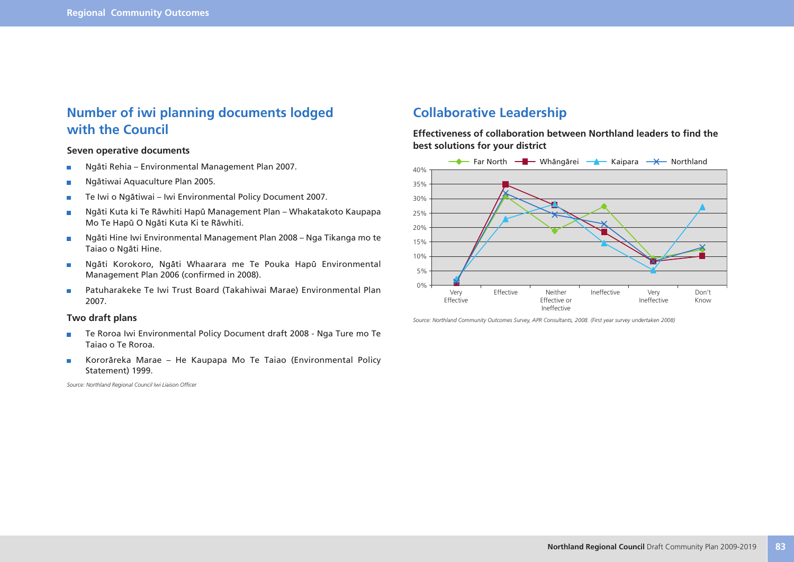### **Number of iwi planning documents lodged with the Council**

#### **Seven operative documents**

- Ngäti Rehia Environmental Management Plan 2007. F
- Ngätiwai Aquaculture Plan 2005. ×
- Te Iwi o Ngätiwai Iwi Environmental Policy Document 2007. ÷
- Ngäti Kuta ki Te Räwhiti Hapü Management Plan Whakatakoto Kaupapa  $\overline{\phantom{a}}$ Mo Te Hapü O Ngäti Kuta Ki te Räwhiti.
- Ngäti Hine Iwi Environmental Management Plan 2008 Nga Tikanga mo te  $\overline{\phantom{a}}$ Taiao o Ngäti Hine.
- Ngäti Korokoro, Ngäti Whaarara me Te Pouka Hapü Environmental  $\overline{\phantom{a}}$ Management Plan 2006 (confirmed in 2008).
- Patuharakeke Te Iwi Trust Board (Takahiwai Marae) Environmental Plan  $\overline{\phantom{a}}$ 2007.

#### **Two draft plans**

- Te Roroa Iwi Environmental Policy Document draft 2008 Nga Ture mo Te  $\overline{\mathbb{R}^2}$ Taiao o Te Roroa.
- Kororäreka Marae He Kaupapa Mo Te Taiao (Environmental Policy  $\overline{\phantom{a}}$ Statement) 1999.

*Source: Northland Regional Council Iwi Liaison Officer*

### **Collaborative Leadership**

**Effectiveness of collaboration between Northland leaders to find the best solutions for your district**



*Source: Northland Community Outcomes Survey, APR Consultants, 2008. (First year survey undertaken 2008)*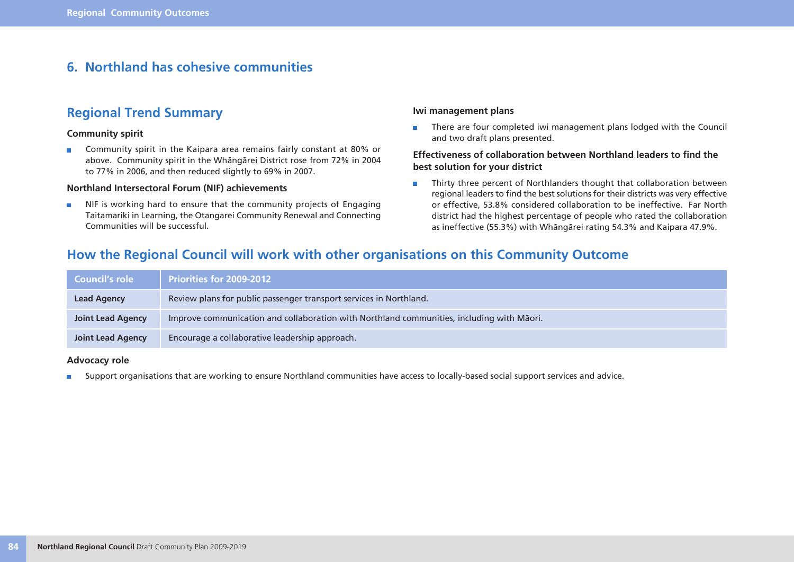### **6. Northland has cohesive communities**

### **Regional Trend Summary**

#### **Community spirit**

Community spirit in the Kaipara area remains fairly constant at 80% or r. above. Community spirit in the Whängärei District rose from 72% in 2004 to 77% in 2006, and then reduced slightly to 69% in 2007.

#### **Northland Intersectoral Forum (NIF) achievements**

NIF is working hard to ensure that the community projects of Engaging  $\overline{\phantom{a}}$ Taitamariki in Learning, the Otangarei Community Renewal and Connecting Communities will be successful.

#### **Iwi management plans**

There are four completed iwi management plans lodged with the Council  $\blacksquare$ and two draft plans presented.

#### **Effectiveness of collaboration between Northland leaders to find the best solution for your district**

Thirty three percent of Northlanders thought that collaboration between  $\blacksquare$ regional leaders to find the best solutions for their districts was very effective or effective, 53.8% considered collaboration to be ineffective. Far North district had the highest percentage of people who rated the collaboration as ineffective (55.3%) with Whängärei rating 54.3% and Kaipara 47.9%.

### **How the Regional Council will work with other organisations on this Community Outcome**

| Council's role           | <b>Priorities for 2009-2012</b>                                                           |
|--------------------------|-------------------------------------------------------------------------------------------|
| <b>Lead Agency</b>       | Review plans for public passenger transport services in Northland.                        |
| <b>Joint Lead Agency</b> | Improve communication and collaboration with Northland communities, including with Māori. |
| <b>Joint Lead Agency</b> | Encourage a collaborative leadership approach.                                            |

#### **Advocacy role**

Support organisations that are working to ensure Northland communities have access to locally-based social support services and advice. $\overline{\phantom{a}}$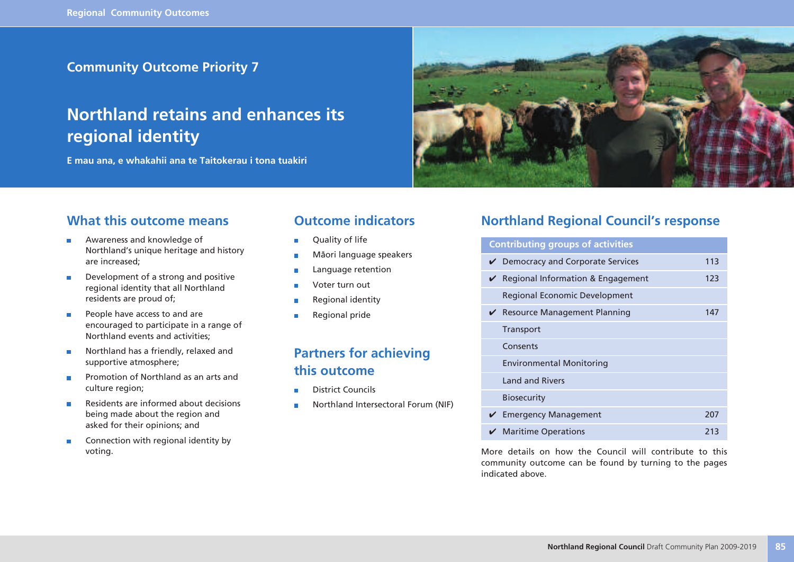### **Community Outcome Priority 7**

## **Northland retains and enhances its regional identity**

**E mau ana, e whakahii ana te Taitokerau i tona tuakiri**



### **What this outcome means**

- Awareness and knowledge of r. Northland's unique heritage and history are increased;
- Development of a strong and positive r. regional identity that all Northland residents are proud of;
- People have access to and are × encouraged to participate in a range of Northland events and activities;
- Northland has a friendly, relaxed and supportive atmosphere;
- Promotion of Northland as an arts and culture region;
- Residents are informed about decisions  $\blacksquare$ being made about the region and asked for their opinions; and
- Connection with regional identity by  $\blacksquare$ voting.

### **Outcome indicators**

- Quality of life
- Mäori language speakers
- Language retention
- Voter turn out
- Regional identity
- Regional pride

### **Partners for achieving this outcome**

- District Councils
- Northland Intersectoral Forum (NIF)

### **Northland Regional Council's response**

## **Contributing groups of activities**  $\nu$  Democracy and Corporate Services 113  $\vee$  Regional Information & Engagement 123 Regional Economic Development ◆ Resource Management Planning 147 **Transport Consents** Environmental Monitoring Land and Rivers Biosecurity ◆ Emergency Management 207 ◆ Maritime Operations 213

More details on how the Council will contribute to this community outcome can be found by turning to the pages indicated above.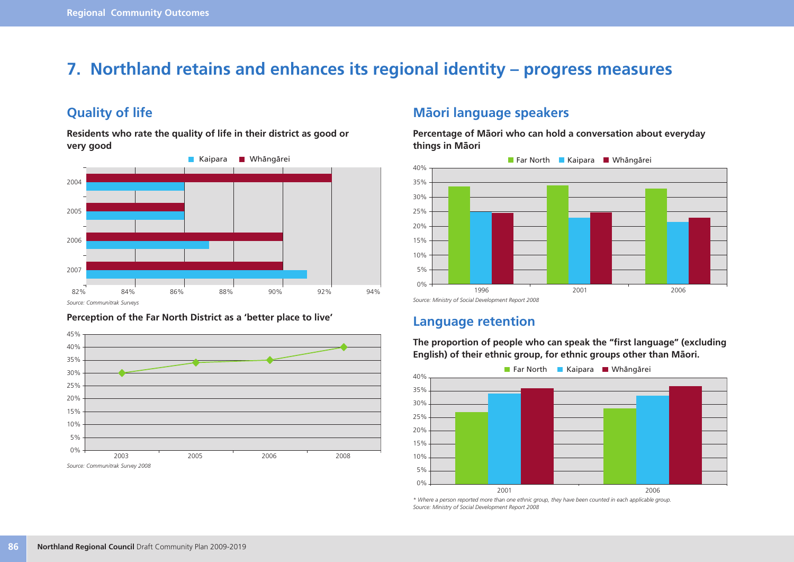## **7. Northland retains and enhances its regional identity – progress measures**

### **Quality of life**

**Residents who rate the quality of life in their district as good or very good**







### **Mäori language speakers**

**Percentage of Mäori who can hold a conversation about everyday things in Mäori**



### **Language retention**

15%

**English) of their ethnic group, for ethnic groups other than Mäori.** 20% 25% 30% 35% 40% **Far North BE Kaipara E Whängärei** 

**The proportion of people who can speak the "first language" (excluding**

0% 5% 10% 2001 2006

*\* Where a person reported more than one ethnic group, they have been counted in each applicable group. Source: Ministry of Social Development Report 2008*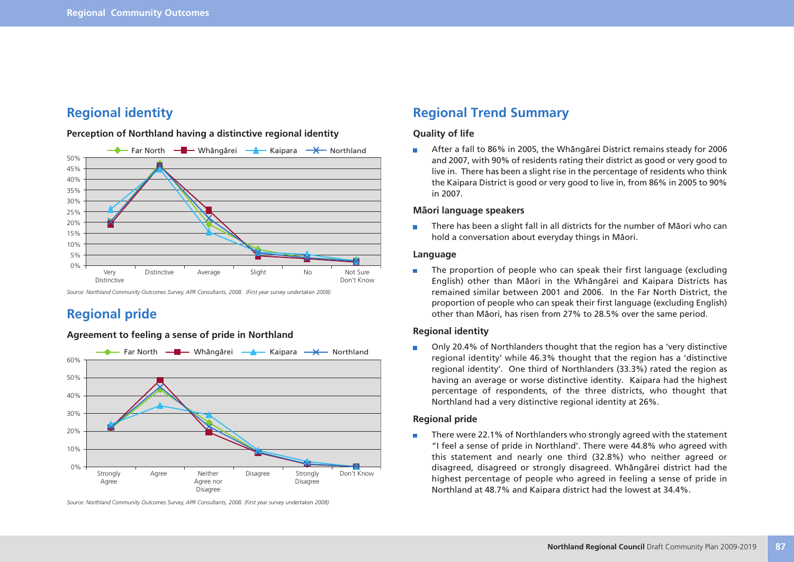### **Regional identity**

#### **Perception of Northland having a distinctive regional identity**



*Source: Northland Community Outcomes Survey, APR Consultants, 2008. (First year survey undertaken 2008)*

### **Regional pride**

#### **Agreement to feeling a sense of pride in Northland**



*Source: Northland Community Outcomes Survey, APR Consultants, 2008. (First year survey undertaken 2008)*

### **Regional Trend Summary**

#### **Quality of life**

After a fall to 86% in 2005, the Whängärei District remains steady for 2006 and 2007, with 90% of residents rating their district as good or very good to live in. There has been a slight rise in the percentage of residents who think the Kaipara District is good or very good to live in, from 86% in 2005 to 90% in 2007.

#### **Mäori language speakers**

There has been a slight fall in all districts for the number of Mäori who can  $\overline{\phantom{a}}$ hold a conversation about everyday things in Mäori.

#### **Language**

The proportion of people who can speak their first language (excluding m. English) other than Mäori in the Whängärei and Kaipara Districts has remained similar between 2001 and 2006. In the Far North District, the proportion of people who can speak their first language (excluding English) other than Mäori, has risen from 27% to 28.5% over the same period.

#### **Regional identity**

Only 20.4% of Northlanders thought that the region has a 'very distinctive regional identity' while 46.3% thought that the region has a 'distinctive regional identity'. One third of Northlanders (33.3%) rated the region as having an average or worse distinctive identity. Kaipara had the highest percentage of respondents, of the three districts, who thought that Northland had a very distinctive regional identity at 26%.

#### **Regional pride**

There were 22.1% of Northlanders who strongly agreed with the statement П "I feel a sense of pride in Northland'. There were 44.8% who agreed with this statement and nearly one third (32.8%) who neither agreed or disagreed, disagreed or strongly disagreed. Whängärei district had the highest percentage of people who agreed in feeling a sense of pride in Northland at 48.7% and Kaipara district had the lowest at 34.4%.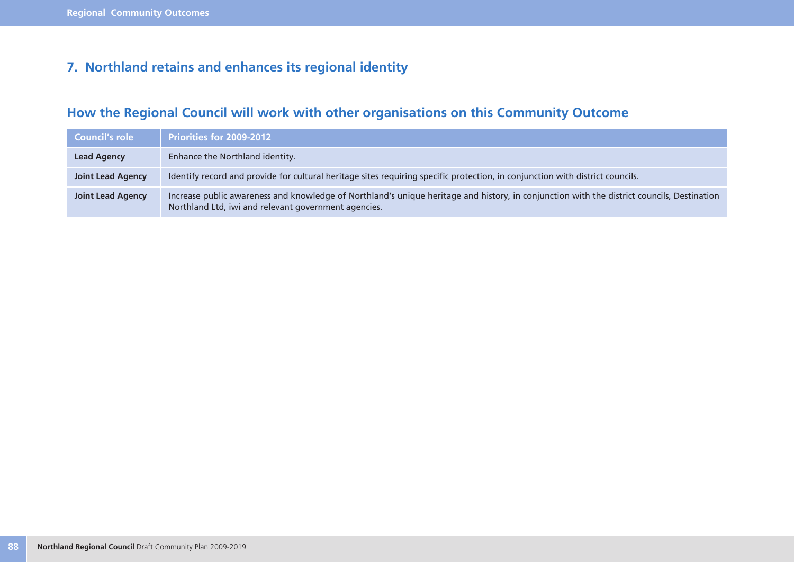## **7. Northland retains and enhances its regional identity**

## **How the Regional Council will work with other organisations on this Community Outcome**

| Council's role           | <b>Priorities for 2009-2012</b>                                                                                                                                                                    |
|--------------------------|----------------------------------------------------------------------------------------------------------------------------------------------------------------------------------------------------|
| <b>Lead Agency</b>       | Enhance the Northland identity.                                                                                                                                                                    |
| <b>Joint Lead Agency</b> | Identify record and provide for cultural heritage sites requiring specific protection, in conjunction with district councils.                                                                      |
| <b>Joint Lead Agency</b> | Increase public awareness and knowledge of Northland's unique heritage and history, in conjunction with the district councils, Destination<br>Northland Ltd, iwi and relevant government agencies. |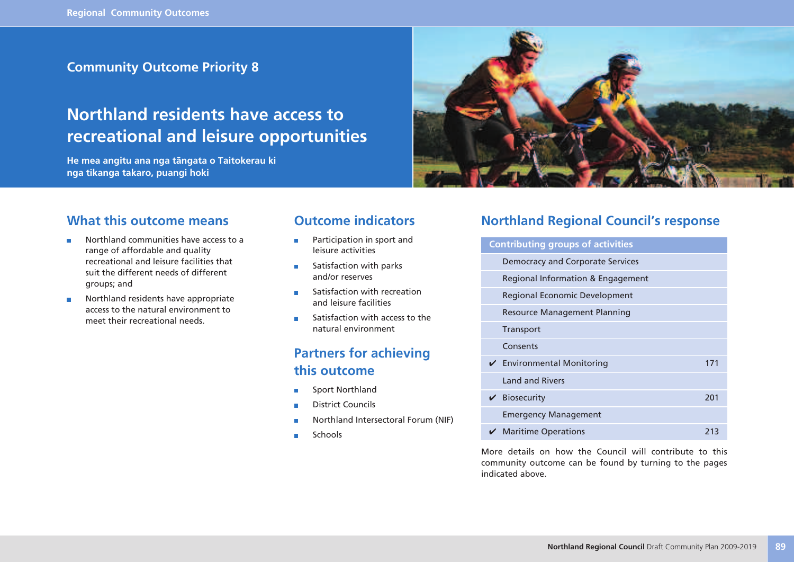### **Community Outcome Priority 8**

## **Northland residents have access to recreational and leisure opportunities**

**He mea angitu ana nga tängata o Taitokerau ki nga tikanga takaro, puangi hoki**



### **What this outcome means**

- Northland communities have access to a ÷ range of affordable and quality recreational and leisure facilities that suit the different needs of different groups; and
- Northland residents have appropriate  $\blacksquare$ access to the natural environment to meet their recreational needs.

### **Outcome indicators**

- Participation in sport and  $\blacksquare$ leisure activities
- Satisfaction with parks × and/or reserves
- Satisfaction with recreation Ē and leisure facilities
- Satisfaction with access to the  $\blacksquare$ natural environment

### **Partners for achieving this outcome**

- Sport Northland ×
- District Councils
- Northland Intersectoral Forum (NIF)
- Schools

### **Northland Regional Council's response**

| <b>Contributing groups of activities</b>      |     |
|-----------------------------------------------|-----|
| <b>Democracy and Corporate Services</b>       |     |
| Regional Information & Engagement             |     |
| <b>Regional Economic Development</b>          |     |
| Resource Management Planning                  |     |
| <b>Transport</b>                              |     |
| Consents                                      |     |
| $\checkmark$ Environmental Monitoring         | 171 |
| <b>Land and Rivers</b>                        |     |
| $\vee$ Biosecurity                            | 201 |
| <b>Emergency Management</b>                   |     |
| $\boldsymbol{\checkmark}$ Maritime Operations | 213 |

More details on how the Council will contribute to this community outcome can be found by turning to the pages indicated above.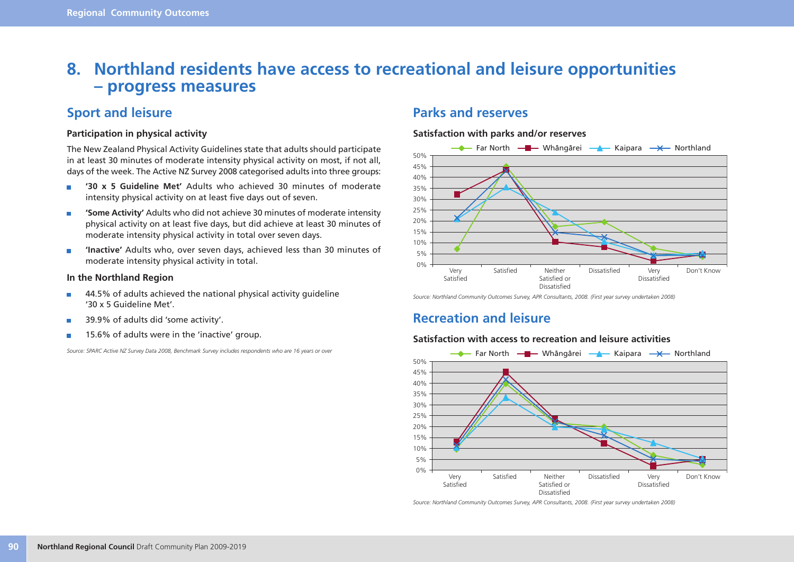## **8. Northland residents have access to recreational and leisure opportunities – progress measures**

### **Sport and leisure**

#### **Participation in physical activity**

The New Zealand Physical Activity Guidelines state that adults should participate in at least 30 minutes of moderate intensity physical activity on most, if not all, days of the week. The Active NZ Survey 2008 categorised adults into three groups:

- **'30 x 5 Guideline Met'** Adults who achieved 30 minutes of moderate  $\blacksquare$ intensity physical activity on at least five days out of seven.
- **'Some Activity'** Adults who did not achieve 30 minutes of moderate intensity  $\overline{\phantom{a}}$ physical activity on at least five days, but did achieve at least 30 minutes of moderate intensity physical activity in total over seven days.
- **'Inactive'** Adults who, over seven days, achieved less than 30 minutes of  $\overline{\phantom{a}}$ moderate intensity physical activity in total.

#### **In the Northland Region**

- 44.5% of adults achieved the national physical activity guideline  $\blacksquare$ '30 x 5 Guideline Met'.
- 39.9% of adults did 'some activity'. ×
- 15.6% of adults were in the 'inactive' group. r.

*Source: SPARC Active NZ Survey Data 2008, Benchmark Survey includes respondents who are 16 years or over*

### **Parks and reserves**

#### **Satisfaction with parks and/or reserves**



*Source: Northland Community Outcomes Survey, APR Consultants, 2008. (First year survey undertaken 2008)*

### **Recreation and leisure**

#### **Satisfaction with access to recreation and leisure activities**



*Source: Northland Community Outcomes Survey, APR Consultants, 2008. (First year survey undertaken 2008)*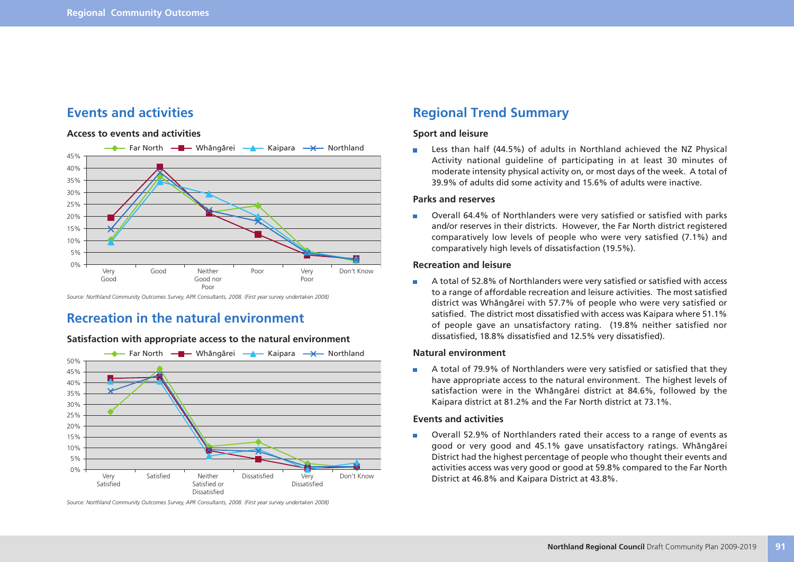

### **Events and activities**

#### **Access to events and activities**

*Source: Northland Community Outcomes Survey, APR Consultants, 2008. (First year survey undertaken 2008)*

### **Recreation in the natural environment**

#### **Satisfaction with appropriate access to the natural environment**



*Source: Northland Community Outcomes Survey, APR Consultants, 2008. (First year survey undertaken 2008)*

### **Regional Trend Summary**

#### **Sport and leisure**

Less than half (44.5%) of adults in Northland achieved the NZ Physical  $\Box$ Activity national guideline of participating in at least 30 minutes of moderate intensity physical activity on, or most days of the week. A total of 39.9% of adults did some activity and 15.6% of adults were inactive.

#### **Parks and reserves**

Overall 64.4% of Northlanders were very satisfied or satisfied with parks m. and/or reserves in their districts. However, the Far North district registered comparatively low levels of people who were very satisfied (7.1%) and comparatively high levels of dissatisfaction (19.5%).

#### **Recreation and leisure**

A total of 52.8% of Northlanders were very satisfied or satisfied with access  $\blacksquare$ to a range of affordable recreation and leisure activities. The most satisfied district was Whängärei with 57.7% of people who were very satisfied or satisfied. The district most dissatisfied with access was Kaipara where 51.1% of people gave an unsatisfactory rating. (19.8% neither satisfied nor dissatisfied, 18.8% dissatisfied and 12.5% very dissatisfied).

#### **Natural environment**

A total of 79.9% of Northlanders were very satisfied or satisfied that they have appropriate access to the natural environment. The highest levels of satisfaction were in the Whängärei district at 84.6%, followed by the Kaipara district at 81.2% and the Far North district at 73.1%.

#### **Events and activities**

Overall 52.9% of Northlanders rated their access to a range of events as  $\blacksquare$ good or very good and 45.1% gave unsatisfactory ratings. Whängärei District had the highest percentage of people who thought their events and activities access was very good or good at 59.8% compared to the Far North District at 46.8% and Kaipara District at 43.8%.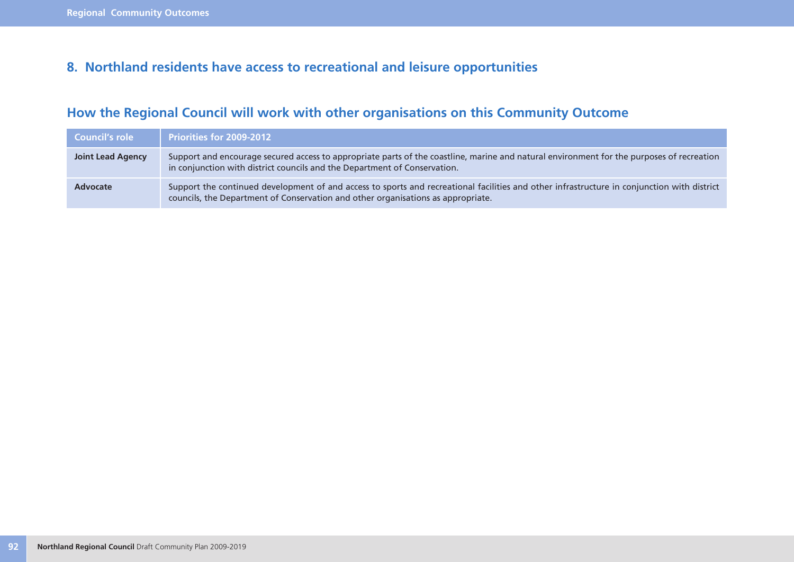### **8. Northland residents have access to recreational and leisure opportunities**

## **How the Regional Council will work with other organisations on this Community Outcome**

| Council's role    | <b>Priorities for 2009-2012</b>                                                                                                                                                                                                 |
|-------------------|---------------------------------------------------------------------------------------------------------------------------------------------------------------------------------------------------------------------------------|
| Joint Lead Agency | Support and encourage secured access to appropriate parts of the coastline, marine and natural environment for the purposes of recreation<br>in conjunction with district councils and the Department of Conservation.          |
| Advocate          | Support the continued development of and access to sports and recreational facilities and other infrastructure in conjunction with district<br>councils, the Department of Conservation and other organisations as appropriate. |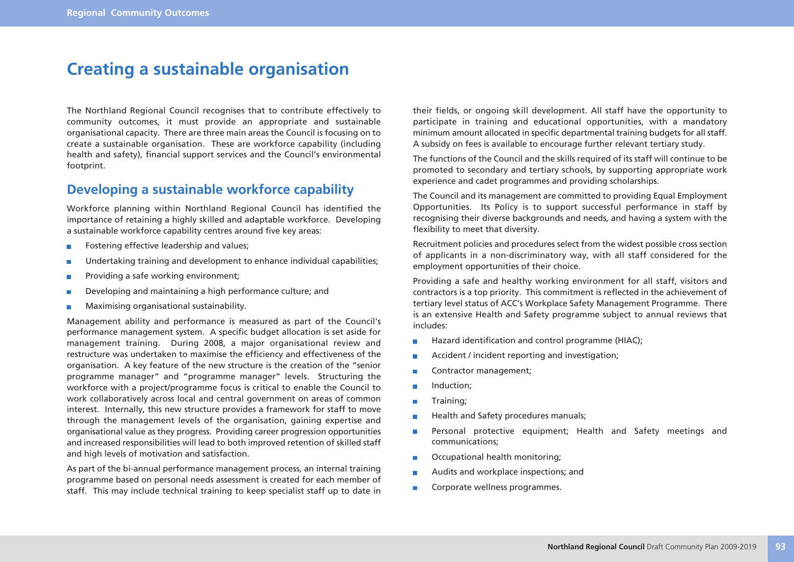## **Creating a sustainable organisation**

The Northland Regional Council recognises that to contribute effectively to community outcomes, it must provide an appropriate and sustainable organisational capacity. There are three main areas the Council is focusing on to create a sustainable organisation. These are workforce capability (including health and safety), financial support services and the Council's environmental footprint.

### **Developing a sustainable workforce capability**

Workforce planning within Northland Regional Council has identified the importance of retaining a highly skilled and adaptable workforce. Developing a sustainable workforce capability centres around five key areas:

- Fostering effective leadership and values;  $\overline{\phantom{a}}$
- Undertaking training and development to enhance individual capabilities; П
- Providing a safe working environment;
- Developing and maintaining a high performance culture; and r.
- Maximising organisational sustainability. r.

Management ability and performance is measured as part of the Council's performance management system. A specific budget allocation is set aside for management training. During 2008, a major organisational review and restructure was undertaken to maximise the efficiency and effectiveness of the organisation. A key feature of the new structure is the creation of the "senior programme manager" and "programme manager" levels. Structuring the workforce with a project/programme focus is critical to enable the Council to work collaboratively across local and central government on areas of common interest. Internally, this new structure provides a framework for staff to move through the management levels of the organisation, gaining expertise and organisational value as they progress. Providing career progression opportunities and increased responsibilities will lead to both improved retention of skilled staff and high levels of motivation and satisfaction.

As part of the bi-annual performance management process, an internal training programme based on personal needs assessment is created for each member of staff. This may include technical training to keep specialist staff up to date in

their fields, or ongoing skill development. All staff have the opportunity to participate in training and educational opportunities, with a mandatory minimum amount allocated in specific departmental training budgets for all staff. A subsidy on fees is available to encourage further relevant tertiary study.

The functions of the Council and the skills required of its staff will continue to be promoted to secondary and tertiary schools, by supporting appropriate work experience and cadet programmes and providing scholarships.

The Council and its management are committed to providing Equal Employment Opportunities. Its Policy is to support successful performance in staff by recognising their diverse backgrounds and needs, and having a system with the flexibility to meet that diversity.

Recruitment policies and procedures select from the widest possible cross section of applicants in a non-discriminatory way, with all staff considered for the employment opportunities of their choice.

Providing a safe and healthy working environment for all staff, visitors and contractors is a top priority. This commitment is reflected in the achievement of tertiary level status of ACC's Workplace Safety Management Programme. There is an extensive Health and Safety programme subject to annual reviews that includes:

- Hazard identification and control programme (HIAC);  $\Box$
- Accident / incident reporting and investigation;  $\blacksquare$
- Contractor management; Ē.
- Induction; П
- П Training;
- Health and Safety procedures manuals;  $\blacksquare$
- Personal protective equipment; Health and Safety meetings and  $\blacksquare$ communications;
- Occupational health monitoring; П
- Audits and workplace inspections; and Ē.
- Corporate wellness programmes. $\overline{\phantom{a}}$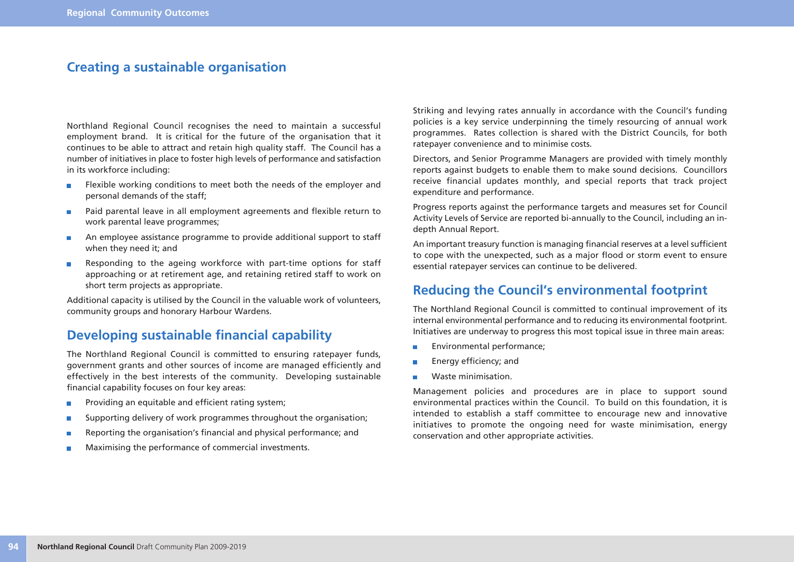### **Creating a sustainable organisation**

Northland Regional Council recognises the need to maintain a successful employment brand. It is critical for the future of the organisation that it continues to be able to attract and retain high quality staff. The Council has a number of initiatives in place to foster high levels of performance and satisfaction in its workforce including:

- Flexible working conditions to meet both the needs of the employer and  $\overline{\phantom{a}}$ personal demands of the staff;
- Paid parental leave in all employment agreements and flexible return to  $\overline{\phantom{a}}$ work parental leave programmes;
- An employee assistance programme to provide additional support to staff  $\overline{\phantom{a}}$ when they need it; and
- Responding to the ageing workforce with part-time options for staff  $\blacksquare$ approaching or at retirement age, and retaining retired staff to work on short term projects as appropriate.

Additional capacity is utilised by the Council in the valuable work of volunteers, community groups and honorary Harbour Wardens.

### **Developing sustainable financial capability**

The Northland Regional Council is committed to ensuring ratepayer funds, government grants and other sources of income are managed efficiently and effectively in the best interests of the community. Developing sustainable financial capability focuses on four key areas:

- Providing an equitable and efficient rating system;  $\overline{\phantom{a}}$
- Supporting delivery of work programmes throughout the organisation; T.
- Reporting the organisation's financial and physical performance; and П
- Maximising the performance of commercial investments. ×

Striking and levying rates annually in accordance with the Council's funding policies is a key service underpinning the timely resourcing of annual work programmes. Rates collection is shared with the District Councils, for both ratepayer convenience and to minimise costs.

Directors, and Senior Programme Managers are provided with timely monthly reports against budgets to enable them to make sound decisions. Councillors receive financial updates monthly, and special reports that track project expenditure and performance.

Progress reports against the performance targets and measures set for Council Activity Levels of Service are reported bi-annually to the Council, including an indepth Annual Report.

An important treasury function is managing financial reserves at a level sufficient to cope with the unexpected, such as a major flood or storm event to ensure essential ratepayer services can continue to be delivered.

### **Reducing the Council's environmental footprint**

The Northland Regional Council is committed to continual improvement of its internal environmental performance and to reducing its environmental footprint. Initiatives are underway to progress this most topical issue in three main areas:

- Ē. Environmental performance;
- Energy efficiency; and П
- Ē. Waste minimisation.

Management policies and procedures are in place to support sound environmental practices within the Council. To build on this foundation, it is intended to establish a staff committee to encourage new and innovative initiatives to promote the ongoing need for waste minimisation, energy conservation and other appropriate activities.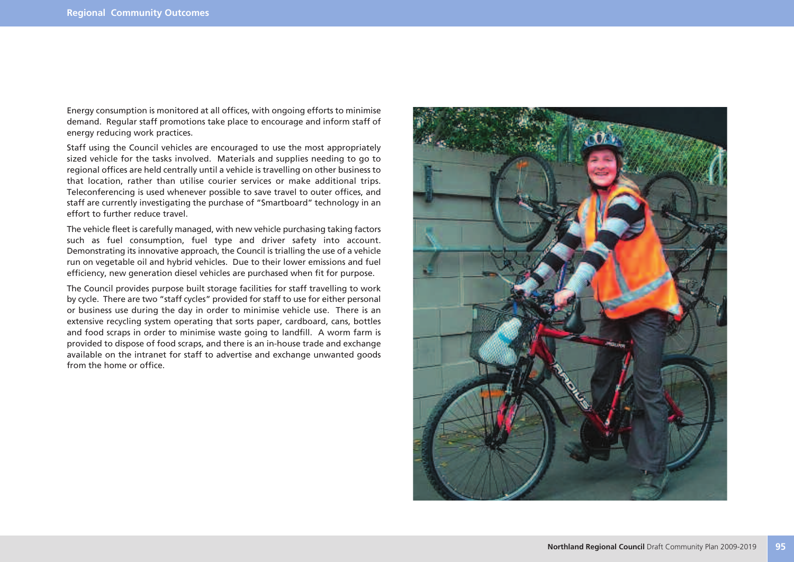Energy consumption is monitored at all offices, with ongoing efforts to minimise demand. Regular staff promotions take place to encourage and inform staff of energy reducing work practices.

Staff using the Council vehicles are encouraged to use the most appropriately sized vehicle for the tasks involved. Materials and supplies needing to go to regional offices are held centrally until a vehicle is travelling on other business to that location, rather than utilise courier services or make additional trips. Teleconferencing is used whenever possible to save travel to outer offices, and staff are currently investigating the purchase of "Smartboard" technology in an effort to further reduce travel.

The vehicle fleet is carefully managed, with new vehicle purchasing taking factors such as fuel consumption, fuel type and driver safety into account. Demonstrating its innovative approach, the Council is trialling the use of a vehicle run on vegetable oil and hybrid vehicles. Due to their lower emissions and fuel efficiency, new generation diesel vehicles are purchased when fit for purpose.

The Council provides purpose built storage facilities for staff travelling to work by cycle. There are two "staff cycles" provided for staff to use for either personal or business use during the day in order to minimise vehicle use. There is an extensive recycling system operating that sorts paper, cardboard, cans, bottles and food scraps in order to minimise waste going to landfill. A worm farm is provided to dispose of food scraps, and there is an in-house trade and exchange available on the intranet for staff to advertise and exchange unwanted goods from the home or office.

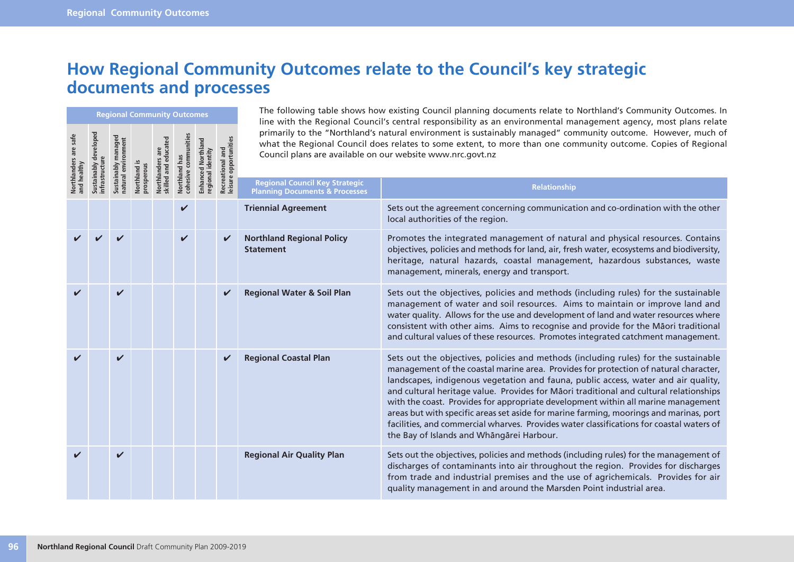## **How Regional Community Outcomes relate to the Council's key strategic documents and processes**

|                       | <b>Regional Community Outcomes</b> |                                                                           |            |  |              |  |              |                                                      | The Tonoming table shows now existing countin planning abcaments relate to northiania's community battonics. In<br>line with the Regional Council's central responsibility as an environmental management agency, most plans relate                                                                                                                                                                                                                                                                                                                                                                                                                                                 |                     |                                                            |                                                                                                                                                                                                                                |
|-----------------------|------------------------------------|---------------------------------------------------------------------------|------------|--|--------------|--|--------------|------------------------------------------------------|-------------------------------------------------------------------------------------------------------------------------------------------------------------------------------------------------------------------------------------------------------------------------------------------------------------------------------------------------------------------------------------------------------------------------------------------------------------------------------------------------------------------------------------------------------------------------------------------------------------------------------------------------------------------------------------|---------------------|------------------------------------------------------------|--------------------------------------------------------------------------------------------------------------------------------------------------------------------------------------------------------------------------------|
| Northlanders are safe | develope                           | Northlanders are<br>skilled and educated<br>Northland has<br>Northland is |            |  |              |  |              |                                                      |                                                                                                                                                                                                                                                                                                                                                                                                                                                                                                                                                                                                                                                                                     | tunities<br>and     | Council plans are available on our website www.nrc.govt.nz | primarily to the "Northland's natural environment is sustainably managed" community outcome. However, much of<br>what the Regional Council does relates to some extent, to more than one community outcome. Copies of Regional |
|                       |                                    | Sustainably<br>natural                                                    | prosperous |  | cohesive     |  | regional     | Recreation<br>leisure o                              | <b>Regional Council Key Strategic</b><br><b>Planning Documents &amp; Processes</b>                                                                                                                                                                                                                                                                                                                                                                                                                                                                                                                                                                                                  | <b>Relationship</b> |                                                            |                                                                                                                                                                                                                                |
|                       |                                    |                                                                           |            |  |              |  |              | <b>Triennial Agreement</b>                           | Sets out the agreement concerning communication and co-ordination with the other<br>local authorities of the region.                                                                                                                                                                                                                                                                                                                                                                                                                                                                                                                                                                |                     |                                                            |                                                                                                                                                                                                                                |
|                       |                                    |                                                                           |            |  | $\checkmark$ |  | $\checkmark$ | <b>Northland Regional Policy</b><br><b>Statement</b> | Promotes the integrated management of natural and physical resources. Contains<br>objectives, policies and methods for land, air, fresh water, ecosystems and biodiversity,<br>heritage, natural hazards, coastal management, hazardous substances, waste<br>management, minerals, energy and transport.                                                                                                                                                                                                                                                                                                                                                                            |                     |                                                            |                                                                                                                                                                                                                                |
| V                     |                                    | $\checkmark$                                                              |            |  |              |  | V            | <b>Regional Water &amp; Soil Plan</b>                | Sets out the objectives, policies and methods (including rules) for the sustainable<br>management of water and soil resources. Aims to maintain or improve land and<br>water quality. Allows for the use and development of land and water resources where<br>consistent with other aims. Aims to recognise and provide for the Māori traditional<br>and cultural values of these resources. Promotes integrated catchment management.                                                                                                                                                                                                                                              |                     |                                                            |                                                                                                                                                                                                                                |
|                       |                                    | $\boldsymbol{\nu}$                                                        |            |  |              |  | V            | <b>Regional Coastal Plan</b>                         | Sets out the objectives, policies and methods (including rules) for the sustainable<br>management of the coastal marine area. Provides for protection of natural character,<br>landscapes, indigenous vegetation and fauna, public access, water and air quality,<br>and cultural heritage value. Provides for Māori traditional and cultural relationships<br>with the coast. Provides for appropriate development within all marine management<br>areas but with specific areas set aside for marine farming, moorings and marinas, port<br>facilities, and commercial wharves. Provides water classifications for coastal waters of<br>the Bay of Islands and Whāngārei Harbour. |                     |                                                            |                                                                                                                                                                                                                                |
|                       |                                    | ✓                                                                         |            |  |              |  |              | <b>Regional Air Quality Plan</b>                     | Sets out the objectives, policies and methods (including rules) for the management of<br>discharges of contaminants into air throughout the region. Provides for discharges<br>from trade and industrial premises and the use of agrichemicals. Provides for air<br>quality management in and around the Marsden Point industrial area.                                                                                                                                                                                                                                                                                                                                             |                     |                                                            |                                                                                                                                                                                                                                |

The following table shows how existing Council planning documents relate to Northland's Community Outcomes. In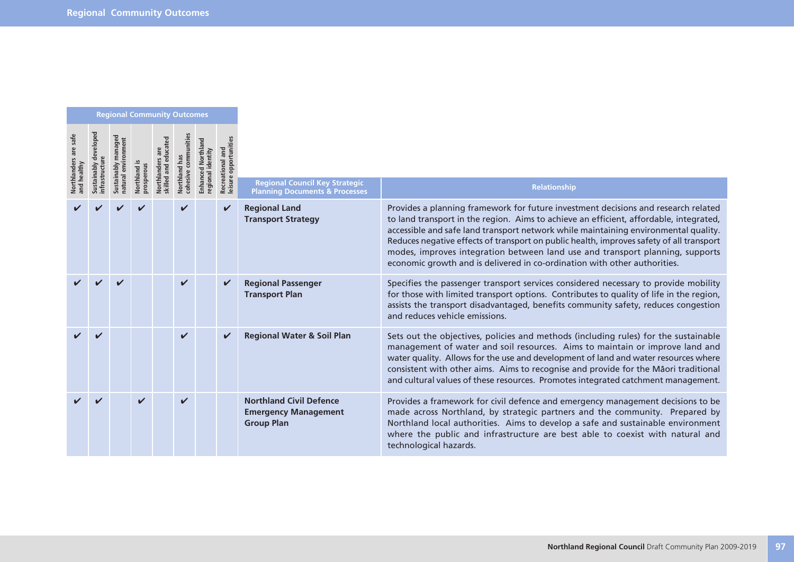| <b>Regional Community Outcomes</b>   |                              |  |                                |                                         |                    |               |              |                                                                                    |                                                                                                                                                                                                                                                                                                                                                                                                                                                                                                                               |  |                                          |  |  |  |
|--------------------------------------|------------------------------|--|--------------------------------|-----------------------------------------|--------------------|---------------|--------------|------------------------------------------------------------------------------------|-------------------------------------------------------------------------------------------------------------------------------------------------------------------------------------------------------------------------------------------------------------------------------------------------------------------------------------------------------------------------------------------------------------------------------------------------------------------------------------------------------------------------------|--|------------------------------------------|--|--|--|
| Northlanders are safe<br>and healthy | <b>Sustainably developed</b> |  | prosperous<br><b>Jorthland</b> | educated<br>Northlanders<br>skilled and |                    | Northland has |              |                                                                                    |                                                                                                                                                                                                                                                                                                                                                                                                                                                                                                                               |  | unities<br>Recreational<br>leisure oppor |  |  |  |
|                                      |                              |  |                                |                                         | cohesive           | regional      |              | <b>Regional Council Key Strategic</b><br><b>Planning Documents &amp; Processes</b> | <b>Relationship</b>                                                                                                                                                                                                                                                                                                                                                                                                                                                                                                           |  |                                          |  |  |  |
|                                      |                              |  |                                |                                         |                    |               | ✓            | <b>Regional Land</b><br><b>Transport Strategy</b>                                  | Provides a planning framework for future investment decisions and research related<br>to land transport in the region. Aims to achieve an efficient, affordable, integrated,<br>accessible and safe land transport network while maintaining environmental quality.<br>Reduces negative effects of transport on public health, improves safety of all transport<br>modes, improves integration between land use and transport planning, supports<br>economic growth and is delivered in co-ordination with other authorities. |  |                                          |  |  |  |
|                                      |                              |  |                                |                                         | $\checkmark$       |               | ✓            | <b>Regional Passenger</b><br><b>Transport Plan</b>                                 | Specifies the passenger transport services considered necessary to provide mobility<br>for those with limited transport options. Contributes to quality of life in the region,<br>assists the transport disadvantaged, benefits community safety, reduces congestion<br>and reduces vehicle emissions.                                                                                                                                                                                                                        |  |                                          |  |  |  |
|                                      |                              |  |                                |                                         | $\boldsymbol{\nu}$ |               | $\checkmark$ | <b>Regional Water &amp; Soil Plan</b>                                              | Sets out the objectives, policies and methods (including rules) for the sustainable<br>management of water and soil resources. Aims to maintain or improve land and<br>water quality. Allows for the use and development of land and water resources where<br>consistent with other aims. Aims to recognise and provide for the Māori traditional<br>and cultural values of these resources. Promotes integrated catchment management.                                                                                        |  |                                          |  |  |  |
|                                      |                              |  | $\boldsymbol{\mathcal{U}}$     |                                         | $\boldsymbol{\nu}$ |               |              | <b>Northland Civil Defence</b><br><b>Emergency Management</b><br><b>Group Plan</b> | Provides a framework for civil defence and emergency management decisions to be<br>made across Northland, by strategic partners and the community. Prepared by<br>Northland local authorities. Aims to develop a safe and sustainable environment<br>where the public and infrastructure are best able to coexist with natural and<br>technological hazards.                                                                                                                                                                  |  |                                          |  |  |  |